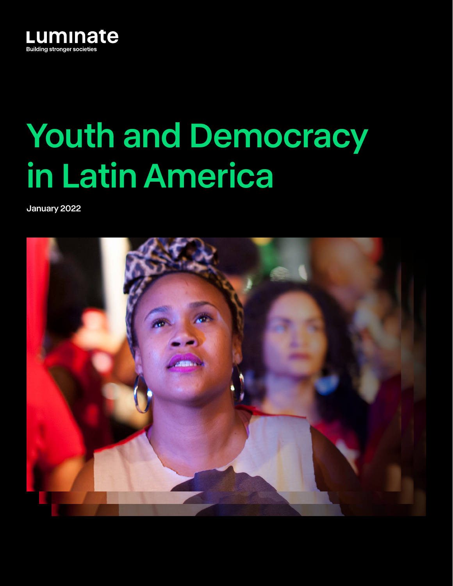

# Youth and Democracy in Latin America

January 2022

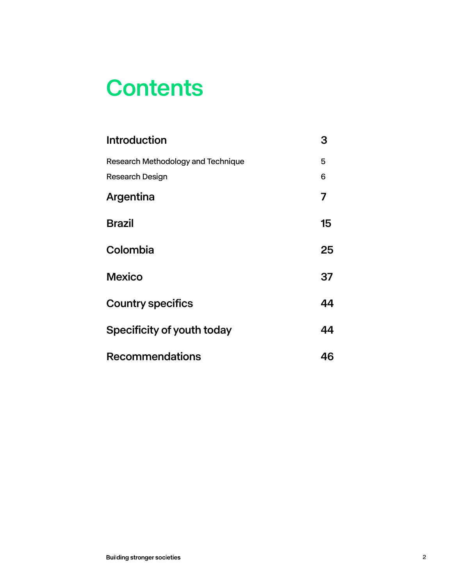## **Contents**

| <b>Introduction</b>                | 3  |
|------------------------------------|----|
| Research Methodology and Technique | 5  |
| Research Design                    | 6  |
| Argentina                          | 7  |
| <b>Brazil</b>                      | 15 |
| Colombia                           | 25 |
| <b>Mexico</b>                      | 37 |
| <b>Country specifics</b>           | 44 |
| Specificity of youth today         | 44 |
| <b>Recommendations</b>             | 46 |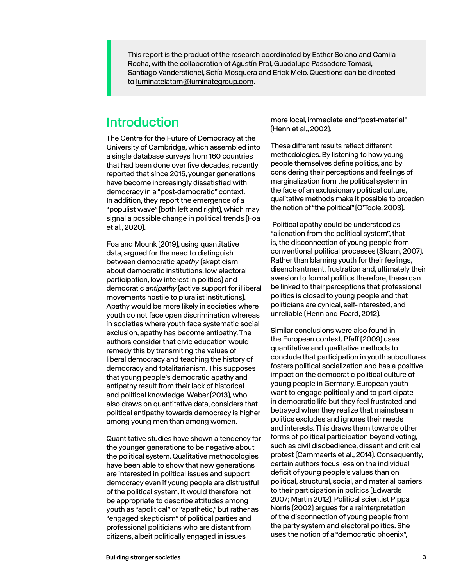<span id="page-2-0"></span>This report is the product of the research coordinated by Esther Solano and Camila Rocha, with the collaboration of Agustín Prol, Guadalupe Passadore Tomasi, Santiago Vanderstichel, Sofía Mosquera and Erick Melo. Questions can be directed to [luminatelatam@luminategroup.com.](mailto:luminatelatam%40luminategroup.com?subject=)

## Introduction

The Centre for the Future of Democracy at the University of Cambridge, which assembled into a single database surveys from 160 countries that had been done over five decades, recently reported that since 2015, younger generations have become increasingly dissatisfied with democracy in a "post-democratic" context. In addition, they report the emergence of a "populist wave" (both left and right), which may signal a possible change in political trends (Foa et al., 2020).

Foa and Mounk (2019), using quantitative data, argued for the need to distinguish between democratic *apathy* (skepticism about democratic institutions, low electoral participation, low interest in politics) and democratic *antipathy* (active support for illiberal movements hostile to pluralist institutions). Apathy would be more likely in societies where youth do not face open discrimination whereas in societies where youth face systematic social exclusion, apathy has become antipathy. The authors consider that civic education would remedy this by transmiting the values of liberal democracy and teaching the history of democracy and totalitarianism. This supposes that young people's democratic apathy and antipathy result from their lack of historical and political knowledge. Weber (2013), who also draws on quantitative data, considers that political antipathy towards democracy is higher among young men than among women.

Quantitative studies have shown a tendency for the younger generations to be negative about the political system. Qualitative methodologies have been able to show that new generations are interested in political issues and support democracy even if young people are distrustful of the political system. It would therefore not be appropriate to describe attitudes among youth as "apolitical" or "apathetic," but rather as "engaged skepticism" of political parties and professional politicians who are distant from citizens, albeit politically engaged in issues

more local, immediate and "post-material" (Henn et al., 2002).

These different results reflect different methodologies. By listening to how young people themselves define politics, and by considering their perceptions and feelings of marginalization from the political system in the face of an exclusionary political culture, qualitative methods make it possible to broaden the notion of "the political" (O'Toole, 2003).

 Political apathy could be understood as "alienation from the political system", that is, the disconnection of young people from conventional political processes (Sloam, 2007). Rather than blaming youth for their feelings, disenchantment, frustration and, ultimately their aversion to formal politics therefore, these can be linked to their perceptions that professional politics is closed to young people and that politicians are cynical, self-interested, and unreliable (Henn and Foard, 2012).

Similar conclusions were also found in the European context. Pfaff (2009) uses quantitative and qualitative methods to conclude that participation in youth subcultures fosters political socialization and has a positive impact on the democratic political culture of young people in Germany. European youth want to engage politically and to participate in democratic life but they feel frustrated and betrayed when they realize that mainstream politics excludes and ignores their needs and interests. This draws them towards other forms of political participation beyond voting, such as civil disobedience, dissent and critical protest (Cammaerts et al., 2014). Consequently, certain authors focus less on the individual deficit of young people's values than on political, structural, social, and material barriers to their participation in politics (Edwards 2007; Martin 2012). Political scientist Pippa Norris (2002) argues for a reinterpretation of the disconnection of young people from the party system and electoral politics. She uses the notion of a "democratic phoenix",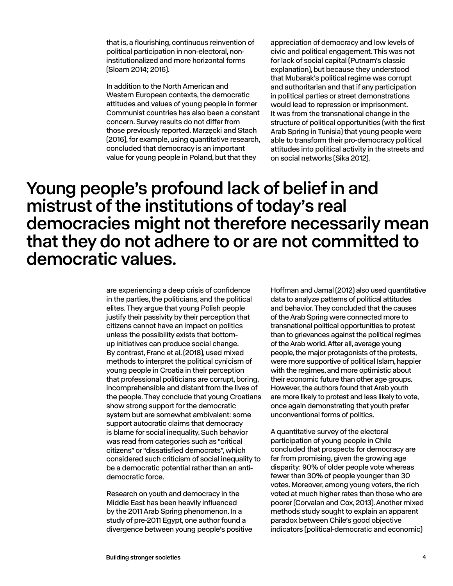that is, a flourishing, continuous reinvention of political participation in non-electoral, noninstitutionalized and more horizontal forms (Sloam 2014; 2016).

In addition to the North American and Western European contexts, the democratic attitudes and values of young people in former Communist countries has also been a constant concern. Survey results do not differ from those previously reported. Marzęcki and Stach (2016), for example, using quantitative research, concluded that democracy is an important value for young people in Poland, but that they

appreciation of democracy and low levels of civic and political engagement. This was not for lack of social capital (Putnam's classic explanation), but because they understood that Mubarak's political regime was corrupt and authoritarian and that if any participation in political parties or street demonstrations would lead to repression or imprisonment. It was from the transnational change in the structure of political opportunities (with the first Arab Spring in Tunisia) that young people were able to transform their pro-democracy political attitudes into political activity in the streets and on social networks (Sika 2012).

## Young people's profound lack of belief in and mistrust of the institutions of today's real democracies might not therefore necessarily mean that they do not adhere to or are not committed to democratic values.

are experiencing a deep crisis of confidence in the parties, the politicians, and the political elites. They argue that young Polish people justify their passivity by their perception that citizens cannot have an impact on politics unless the possibility exists that bottomup initiatives can produce social change. By contrast, Franc et al. (2018), used mixed methods to interpret the political cynicism of young people in Croatia in their perception that professional politicians are corrupt, boring, incomprehensible and distant from the lives of the people. They conclude that young Croatians show strong support for the democratic system but are somewhat ambivalent: some support autocratic claims that democracy is blame for social inequality. Such behavior was read from categories such as "critical citizens" or "dissatisfied democrats", which considered such criticism of social inequality to be a democratic potential rather than an antidemocratic force.

Research on youth and democracy in the Middle East has been heavily influenced by the 2011 Arab Spring phenomenon. In a study of pre-2011 Egypt, one author found a divergence between young people's positive Hoffman and Jamal (2012) also used quantitative data to analyze patterns of political attitudes and behavior. They concluded that the causes of the Arab Spring were connected more to transnational political opportunities to protest than to grievances against the political regimes of the Arab world. After all, average young people, the major protagonists of the protests, were more supportive of political Islam, happier with the regimes, and more optimistic about their economic future than other age groups. However, the authors found that Arab youth are more likely to protest and less likely to vote, once again demonstrating that youth prefer unconventional forms of politics.

A quantitative survey of the electoral participation of young people in Chile concluded that prospects for democracy are far from promising, given the growing age disparity: 90% of older people vote whereas fewer than 30% of people younger than 30 votes. Moreover, among young voters, the rich voted at much higher rates than those who are poorer (Corvalan and Cox, 2013). Another mixed methods study sought to explain an apparent paradox between Chile's good objective indicators (political-democratic and economic)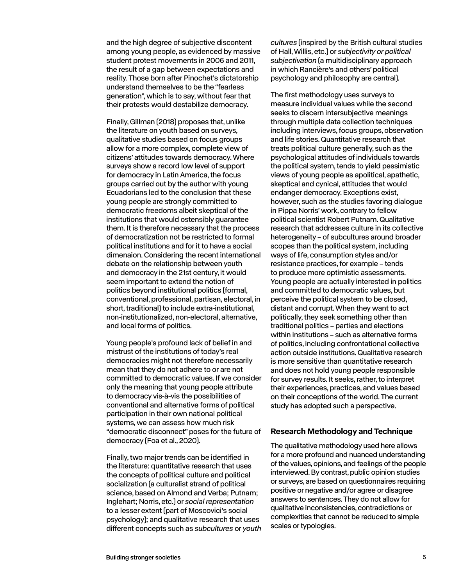<span id="page-4-0"></span>and the high degree of subjective discontent among young people, as evidenced by massive student protest movements in 2006 and 2011, the result of a gap between expectations and reality. Those born after Pinochet's dictatorship understand themselves to be the "fearless generation", which is to say, without fear that their protests would destabilize democracy.

Finally, Gillman (2018) proposes that, unlike the literature on youth based on surveys, qualitative studies based on focus groups allow for a more complex, complete view of citizens' attitudes towards democracy. Where surveys show a record low level of support for democracy in Latin America, the focus groups carried out by the author with young Ecuadorians led to the conclusion that these young people are strongly committed to democratic freedoms albeit skeptical of the institutions that would ostensibly guarantee them. It is therefore necessary that the process of democratization not be restricted to formal political institutions and for it to have a social dimenaion. Considering the recent international debate on the relationship between youth and democracy in the 21st century, it would seem important to extend the notion of politics beyond institutional politics (formal, conventional, professional, partisan, electoral, in short, traditional) to include extra-institutional, non-institutionalized, non-electoral, alternative, and local forms of politics.

Young people's profound lack of belief in and mistrust of the institutions of today's real democracies might not therefore necessarily mean that they do not adhere to or are not committed to democratic values. If we consider only the meaning that young people attribute to democracy vis-à-vis the possibilities of conventional and alternative forms of political participation in their own national political systems, we can assess how much risk "democratic disconnect" poses for the future of democracy (Foa et al., 2020).

Finally, two major trends can be identified in the literature: quantitative research that uses the concepts of political culture and political socialization (a culturalist strand of political science, based on Almond and Verba; Putnam; Inglehart; Norris, etc.) or *social representation* to a lesser extent (part of Moscovici's social psychology); and qualitative research that uses different concepts such as *subcultures* or *youth*  *cultures* (inspired by the British cultural studies of Hall, Willis, etc.) or *subjectivity or political subjectivation* (a multidisciplinary approach in which Rancière's and others' political psychology and philosophy are central).

The first methodology uses surveys to measure individual values while the second seeks to discern intersubjective meanings through multiple data collection techniques including interviews, focus groups, observation and life stories. Quantitative research that treats political culture generally, such as the psychological attitudes of individuals towards the political system, tends to yield pessimistic views of young people as apolitical, apathetic, skeptical and cynical, attitudes that would endanger democracy. Exceptions exist, however, such as the studies favoring dialogue in Pippa Norris' work, contrary to fellow political scientist Robert Putnam. Qualitative research that addresses culture in its collective heterogeneity – of subcultures around broader scopes than the political system, including ways of life, consumption styles and/or resistance practices, for example – tends to produce more optimistic assessments. Young people are actually interested in politics and committed to democratic values, but perceive the political system to be closed, distant and corrupt. When they want to act politically, they seek something other than traditional politics – parties and elections within institutions – such as alternative forms of politics, including confrontational collective action outside institutions. Qualitative research is more sensitive than quantitative research and does not hold young people responsible for survey results. It seeks, rather, to interpret their experiences, practices, and values based on their conceptions of the world. The current study has adopted such a perspective.

### **Research Methodology and Technique**

The qualitative methodology used here allows for a more profound and nuanced understanding of the values, opinions, and feelings of the people interviewed. By contrast, public opinion studies or surveys, are based on questionnaires requiring positive or negative and/or agree or disagree answers to sentences. They do not allow for qualitative inconsistencies, contradictions or complexities that cannot be reduced to simple scales or typologies.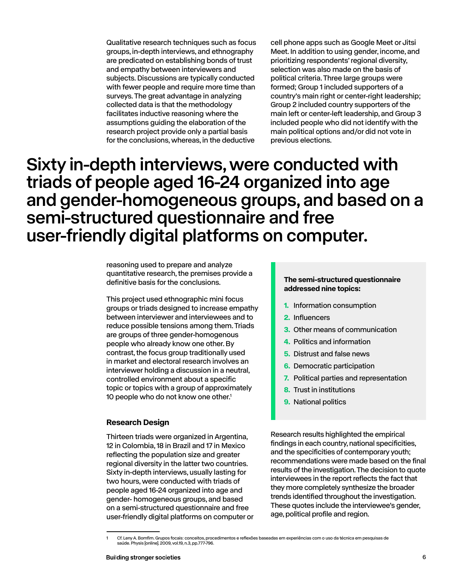<span id="page-5-0"></span>Qualitative research techniques such as focus groups, in-depth interviews, and ethnography are predicated on establishing bonds of trust and empathy between interviewers and subjects. Discussions are typically conducted with fewer people and require more time than surveys. The great advantage in analyzing collected data is that the methodology facilitates inductive reasoning where the assumptions guiding the elaboration of the research project provide only a partial basis for the conclusions, whereas, in the deductive

cell phone apps such as Google Meet or Jitsi Meet. In addition to using gender, income, and prioritizing respondents' regional diversity, selection was also made on the basis of political criteria. Three large groups were formed; Group 1 included supporters of a country's main right or center-right leadership; Group 2 included country supporters of the main left or center-left leadership, and Group 3 included people who did not identify with the main political options and/or did not vote in previous elections.

## Sixty in-depth interviews, were conducted with triads of people aged 16-24 organized into age and gender-homogeneous groups, and based on a semi-structured questionnaire and free user-friendly digital platforms on computer.

reasoning used to prepare and analyze quantitative research, the premises provide a definitive basis for the conclusions.

This project used ethnographic mini focus groups or triads designed to increase empathy between interviewer and interviewees and to reduce possible tensions among them. Triads are groups of three gender-homogenous people who already know one other. By contrast, the focus group traditionally used in market and electoral research involves an interviewer holding a discussion in a neutral, controlled environment about a specific topic or topics with a group of approximately 10 people who do not know one other.<sup>1</sup>

#### **Research Design**

Thirteen triads were organized in Argentina, 12 in Colombia, 18 in Brazil and 17 in Mexico reflecting the population size and greater regional diversity in the latter two countries. Sixty in-depth interviews, usually lasting for two hours, were conducted with triads of people aged 16-24 organized into age and gender- homogeneous groups, and based on a semi-structured questionnaire and free user-friendly digital platforms on computer or

### **The semi-structured questionnaire addressed nine topics:**

- **1.** Information consumption
- **2.** Influencers
- **3.** Other means of communication
- **4.** Politics and information
- **5.** Distrust and false news
- **6.** Democratic participation
- **7.** Political parties and representation
- **8.** Trust in institutions
- **9.** National politics

Research results highlighted the empirical findings in each country, national specificities, and the specificities of contemporary youth; recommendations were made based on the final results of the investigation. The decision to quote interviewees in the report reflects the fact that they more completely synthesize the broader trends identified throughout the investigation. These quotes include the interviewee's gender, age, political profile and region.

<sup>1</sup> Cf. Leny A. Bomfim. Grupos focais: conceitos, procedimentos e reflexões baseadas em experiências com o uso da técnica em pesquisas de saúde. Physis [online]. 2009, vol.19, n.3, pp.777-796.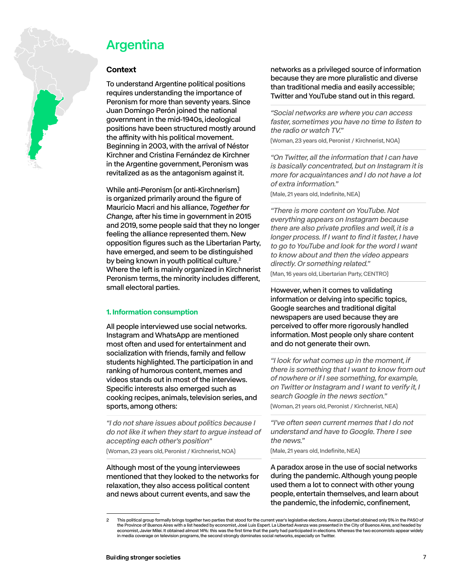<span id="page-6-0"></span>

## Argentina

### **Context**

To understand Argentine political positions requires understanding the importance of Peronism for more than seventy years. Since Juan Domingo Perón joined the national government in the mid-1940s, ideological positions have been structured mostly around the affinity with his political movement. Beginning in 2003, with the arrival of Néstor Kirchner and Cristina Fernández de Kirchner in the Argentine government, Peronism was revitalized as as the antagonism against it.

While anti-Peronism (or anti-Kirchnerism) is organized primarily around the figure of Mauricio Macri and his alliance, *Together for Change,* after his time in government in 2015 and 2019, some people said that they no longer feeling the alliance represented them. New opposition figures such as the Libertarian Party, have emerged, and seem to be distinguished by being known in youth political culture.<sup>2</sup> Where the left is mainly organized in Kirchnerist Peronism terms, the minority includes different, small electoral parties.

#### **1. Information consumption**

All people interviewed use social networks. Instagram and WhatsApp are mentioned most often and used for entertainment and socialization with friends, family and fellow students highlighted. The participation in and ranking of humorous content, memes and videos stands out in most of the interviews. Specific interests also emerged such as cooking recipes, animals, television series, and sports, among others:

*"I do not share issues about politics because I do not like it when they start to argue instead of accepting each other's position"* 

(Woman, 23 years old, Peronist / Kirchnerist, NOA)

Although most of the young interviewees mentioned that they looked to the networks for relaxation, they also access political content and news about current events, and saw the

networks as a privileged source of information because they are more pluralistic and diverse than traditional media and easily accessible; Twitter and YouTube stand out in this regard.

*"Social networks are where you can access faster, sometimes you have no time to listen to the radio or watch TV."* 

(Woman, 23 years old, Peronist / Kirchnerist, NOA)

*"On Twitter, all the information that I can have is basically concentrated, but on Instagram it is more for acquaintances and I do not have a lot of extra information."* 

(Male, 21 years old, Indefinite, NEA)

*"There is more content on YouTube. Not everything appears on Instagram because there are also private profiles and well, it is a longer process. If I want to find it faster, I have to go to YouTube and look for the word I want to know about and then the video appears directly. Or something related."* 

(Man, 16 years old, Libertarian Party, CENTRO)

However, when it comes to validating information or delving into specific topics, Google searches and traditional digital newspapers are used because they are perceived to offer more rigorously handled information. Most people only share content and do not generate their own.

*"I look for what comes up in the moment, if there is something that I want to know from out of nowhere or if I see something, for example, on Twitter or Instagram and I want to verify it, I search Google in the news section."* 

(Woman, 21 years old, Peronist / Kirchnerist, NEA)

*"I've often seen current memes that I do not understand and have to Google. There I see the news."* 

(Male, 21 years old, Indefinite, NEA)

A paradox arose in the use of social networks during the pandemic. Although young people used them a lot to connect with other young people, entertain themselves, and learn about the pandemic, the infodemic, confinement,

<sup>2</sup> This political group formally brings together two parties that stood for the current year's legislative elections. Avanza Libertad obtained only 5% in the PASO of the Province of Buenos Aires with a list headed by economist, José Luis Espert. La Libertad Avanza was presented in the City of Buenos Aires, and headed by economist, Javier Milei. It obtained almost 14%: this was the first time that the party had participated in elections. Whereas the two economists appear widely in media coverage on television programs, the second strongly dominates social networks, especially on Twitter.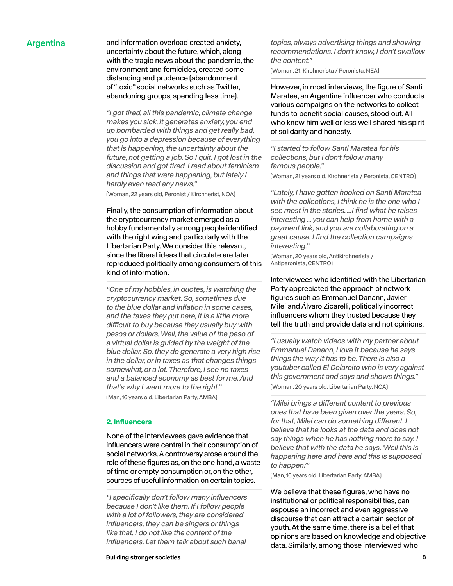Argentina and information overload created anxiety, uncertainty about the future, which, along with the tragic news about the pandemic, the environment and femicides, created some distancing and prudence (abandonment of "toxic" social networks such as Twitter, abandoning groups, spending less time).

> *"I got tired, all this pandemic, climate change makes you sick, it generates anxiety, you end up bombarded with things and get really bad, you go into a depression because of everything that is happening, the uncertainty about the future, not getting a job. So I quit. I got lost in the discussion and got tired. I read about feminism and things that were happening, but lately I hardly even read any news."*

(Woman, 22 years old, Peronist / Kirchnerist, NOA)

Finally, the consumption of information about the cryptocurrency market emerged as a hobby fundamentally among people identified with the right wing and particularly with the Libertarian Party. We consider this relevant, since the liberal ideas that circulate are later reproduced politically among consumers of this kind of information.

*"One of my hobbies, in quotes, is watching the cryptocurrency market. So, sometimes due to the blue dollar and inflation in some cases, and the taxes they put here, it is a little more*  difficult to buy because they usually buy with *pesos or dollars. Well, the value of the peso of a virtual dollar is guided by the weight of the blue dollar. So, they do generate a very high rise in the dollar, or in taxes as that changes things somewhat, or a lot. Therefore, I see no taxes and a balanced economy as best for me. And that's why I went more to the right."*  (Man, 16 years old, Libertarian Party, AMBA)

#### **2. Influencers**

None of the interviewees gave evidence that influencers were central in their consumption of social networks. A controversy arose around the role of these figures as, on the one hand, a waste of time or empty consumption or, on the other, sources of useful information on certain topics.

*"I specifically don't follow many influencers because I don't like them. If I follow people with a lot of followers, they are considered influencers, they can be singers or things like that. I do not like the content of the influencers. Let them talk about such banal* 

**Building stronger societies** 

*topics, always advertising things and showing recommendations. I don't know, I don't swallow the content."* 

(Woman, 21, Kirchnerista / Peronista, NEA)

However, in most interviews, the figure of Santi Maratea, an Argentine influencer who conducts various campaigns on the networks to collect funds to benefit social causes, stood out. All who knew him well or less well shared his spirit of solidarity and honesty.

*"I started to follow Santi Maratea for his collections, but I don't follow many famous people."* 

(Woman, 21 years old, Kirchnerista / Peronista, CENTRO)

*"Lately, I have gotten hooked on Santi Maratea with the collections, I think he is the one who I see most in the stories. ...I find what he raises interesting ... you can help from home with a payment link, and you are collaborating on a great cause. I find the collection campaigns interesting."* 

(Woman, 20 years old, Antikirchnerista / Antiperonista, CENTRO)

Interviewees who identified with the Libertarian Party appreciated the approach of network figures such as Emmanuel Danann, Javier Milei and Álvaro Zicarelli, politically incorrect influencers whom they trusted because they tell the truth and provide data and not opinions.

*"I usually watch videos with my partner about Emmanuel Danann, I love it because he says things the way it has to be. There is also a youtuber called El Dolarcito who is very against this government and says and shows things."*  (Woman, 20 years old, Libertarian Party, NOA)

"Milei brings a different content to previous *ones that have been given over the years. So,*  for that, Milei can do something different. I *believe that he looks at the data and does not say things when he has nothing more to say. I believe that with the data he says, 'Well this is happening here and here and this is supposed to happen.'"* 

(Man, 16 years old, Libertarian Party, AMBA)

We believe that these figures, who have no institutional or political responsibilities, can espouse an incorrect and even aggressive discourse that can attract a certain sector of youth. At the same time, there is a belief that opinions are based on knowledge and objective data. Similarly, among those interviewed who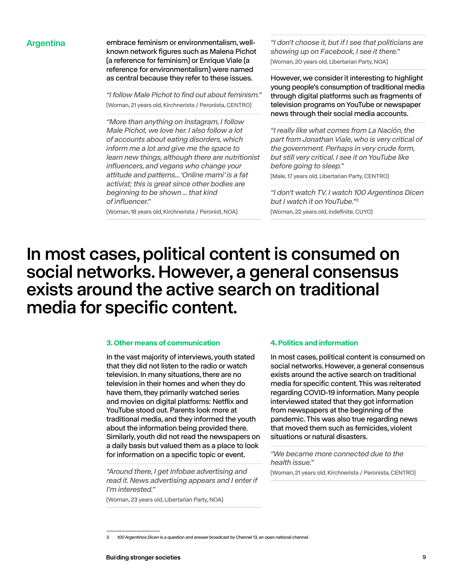Argentina embrace feminism or environmentalism, wellknown network figures such as Malena Pichot (a reference for feminism) or Enrique Viale (a reference for environmentalism) were named as central because they refer to these issues.

> *"I follow Male Pichot to find out about feminism."*  (Woman, 21 years old, Kirchnerista / Peronista, CENTRO)

*"More than anything on Instagram, I follow Male Pichot, we love her. I also follow a lot of accounts about eating disorders, which inform me a lot and give me the space to learn new things, although there are nutritionist influencers, and vegans who change your attitude and patterns... 'Online mami' is a fat activist; this is great since other bodies are beginning to be shown ... that kind of influencer."* 

(Woman, 18 years old, Kirchnerista / Peronist, NOA)

*"I don't choose it, but if I see that politicians are showing up on Facebook, I see it there."* (Woman, 20 years old, Libertarian Party, NOA)

However, we consider it interesting to highlight young people's consumption of traditional media through digital platforms such as fragments of television programs on YouTube or newspaper news through their social media accounts.

*"I really like what comes from La Nación, the part from Jonathan Viale, who is very critical of the government. Perhaps in very crude form, but still very critical. I see it on YouTube like before going to sleep."* 

(Male, 17 years old, Libertarian Party, CENTRO)

*"I don't watch TV. I watch 100 Argentinos Dicen but I watch it on YouTube."3* (Woman, 22 years old, indefinite, CUYO)

## In most cases, political content is consumed on social networks. However, a general consensus exists around the active search on traditional media for specific content.

#### **3. Other means of communication**

In the vast majority of interviews, youth stated that they did not listen to the radio or watch television. In many situations, there are no television in their homes and when they do have them, they primarily watched series and movies on digital platforms: Netflix and YouTube stood out. Parents look more at traditional media, and they informed the youth about the information being provided there. Similarly, youth did not read the newspapers on a daily basis but valued them as a place to look for information on a specific topic or event.

*"Around there, I get Infobae advertising and read it. News advertising appears and I enter if I'm interested."* 

(Woman, 23 years old, Libertarian Party, NOA)

#### **4. Politics and information**

In most cases, political content is consumed on social networks. However, a general consensus exists around the active search on traditional media for specific content. This was reiterated regarding COVID-19 information. Many people interviewed stated that they got information from newspapers at the beginning of the pandemic. This was also true regarding news that moved them such as femicides, violent situations or natural disasters.

*"We became more connected due to the health issue."* 

(Woman, 21 years old, Kirchnerista / Peronista, CENTRO)

<sup>3</sup> *100 Argentinos Dicen* is a question and answer broadcast by Channel 13, an open national channel.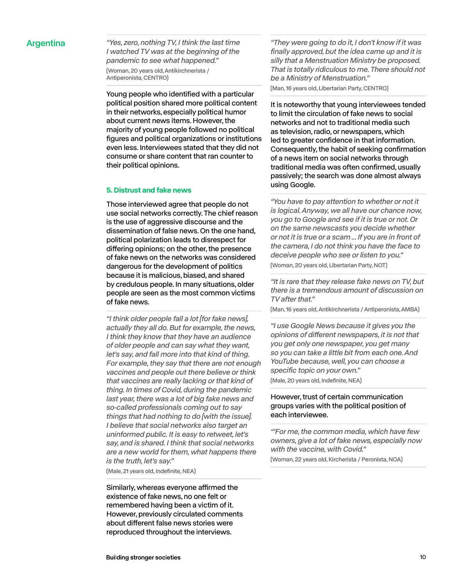Argentina *"Yes, zero, nothing TV, I think the last time I watched TV was at the beginning of the pandemic to see what happened."*  (Woman, 20 years old, Antikirchnerista / Antiperonista, CENTRO)

> Young people who identified with a particular political position shared more political content in their networks, especially political humor about current news items. However, the majority of young people followed no political figures and political organizations or institutions even less. Interviewees stated that they did not consume or share content that ran counter to their political opinions.

#### **5. Distrust and fake news**

Those interviewed agree that people do not use social networks correctly. The chief reason is the use of aggressive discourse and the dissemination of false news. On the one hand, political polarization leads to disrespect for differing opinions; on the other, the presence of fake news on the networks was considered dangerous for the development of politics because it is malicious, biased, and shared by credulous people. In many situations, older people are seen as the most common victims of fake news.

*"I think older people fall a lot [for fake news], actually they all do. But for example, the news, I think they know that they have an audience of older people and can say what they want, let's say, and fall more into that kind of thing. For example, they say that there are not enough vaccines and people out there believe or think that vaccines are really lacking or that kind of thing. In times of Covid, during the pandemic last year, there was a lot of big fake news and so-called professionals coming out to say things that had nothing to do [with the issue]. I believe that social networks also target an uninformed public. It is easy to retweet, let's say, and is shared. I think that social networks are a new world for them, what happens there is the truth, let's say."* 

(Male, 21 years old, Indefinite, NEA)

Similarly, whereas everyone affirmed the existence of fake news, no one felt or remembered having been a victim of it. However, previously circulated comments about different false news stories were reproduced throughout the interviews.

*"They were going to do it, I don't know if it was finally approved, but the idea came up and it is silly that a Menstruation Ministry be proposed. That is totally ridiculous to me. There should not be a Ministry of Menstruation."* 

(Man, 16 years old, Libertarian Party, CENTRO)

It is noteworthy that young interviewees tended to limit the circulation of fake news to social networks and not to traditional media such as television, radio, or newspapers, which led to greater confidence in that information. Consequently, the habit of seeking confirmation of a news item on social networks through traditional media was often confirmed, usually passively; the search was done almost always using Google.

*"You have to pay attention to whether or not it is logical. Anyway, we all have our chance now, you go to Google and see if it is true or not. Or on the same newscasts you decide whether or not it is true or a scam ... If you are in front of the camera, I do not think you have the face to deceive people who see or listen to you."*  (Woman, 20 years old, Libertarian Party, NOT)

*"It is rare that they release fake news on TV, but there is a tremendous amount of discussion on TV after that."* 

(Man, 16 years old, Antikirchnerista / Antiperonista, AMBA)

*"I use Google News because it gives you the*  opinions of different newspapers, it is not that *you get only one newspaper, you get many so you can take a little bit from each one. And YouTube because, well, you can choose a specific topic on your own."* 

(Male, 20 years old, Indefinite, NEA)

### However, trust of certain communication groups varies with the political position of each interviewee.

*"'For me, the common media, which have few owners, give a lot of fake news, especially now with the vaccine, with Covid."* 

(Woman, 22 years old, Kircherista / Peronista, NOA)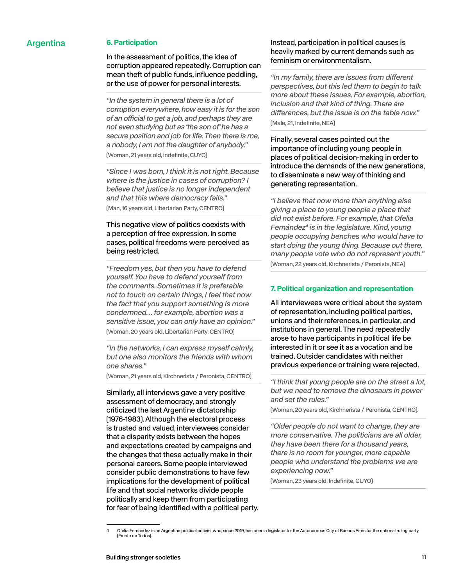### Argentina **6. Participation**

In the assessment of politics, the idea of corruption appeared repeatedly. Corruption can mean theft of public funds, influence peddling, or the use of power for personal interests.

*"In the system in general there is a lot of corruption everywhere, how easy it is for the son*  of an official to get a job, and perhaps they are *not even studying but as 'the son of' he has a secure position and job for life. Then there is me, a nobody, I am not the daughter of anybody."*  (Woman, 21 years old, indefinite, CUYO)

*"Since I was born, I think it is not right. Because where is the justice in cases of corruption? I believe that justice is no longer independent and that this where democracy fails."*  (Man, 16 years old, Libertarian Party, CENTRO)

### This negative view of politics coexists with a perception of free expression. In some cases, political freedoms were perceived as being restricted.

*"Freedom yes, but then you have to defend yourself. You have to defend yourself from the comments. Sometimes it is preferable not to touch on certain things, I feel that now the fact that you support something is more condemned… for example, abortion was a sensitive issue, you can only have an opinion."*  (Woman, 20 years old, Libertarian Party, CENTRO)

*"In the networks, I can express myself calmly, but one also monitors the friends with whom one shares."* 

(Woman, 21 years old, Kirchnerista / Peronista, CENTRO)

Similarly, all interviews gave a very positive assessment of democracy, and strongly criticized the last Argentine dictatorship (1976-1983). Although the electoral process is trusted and valued, interviewees consider that a disparity exists between the hopes and expectations created by campaigns and the changes that these actually make in their personal careers. Some people interviewed consider public demonstrations to have few implications for the development of political life and that social networks divide people politically and keep them from participating for fear of being identified with a political party.

### Instead, participation in political causes is heavily marked by current demands such as feminism or environmentalism.

"In my family, there are issues from different *perspectives, but this led them to begin to talk more about these issues. For example, abortion, inclusion and that kind of thing. There are*  differences, but the issue is on the table now." (Male, 21, Indefinite, NEA)

Finally, several cases pointed out the importance of including young people in places of political decision-making in order to introduce the demands of the new generations, to disseminate a new way of thinking and generating representation.

*"I believe that now more than anything else giving a place to young people a place that did not exist before. For example, that Ofelia Fernández4 is in the legislature. Kind, young people occupying benches who would have to start doing the young thing. Because out there, many people vote who do not represent youth."* 

(Woman, 22 years old, Kirchnerista / Peronista, NEA)

### **7. Political organization and representation**

All interviewees were critical about the system of representation, including political parties, unions and their references, in particular, and institutions in general. The need repeatedly arose to have participants in political life be interested in it or see it as a vocation and be trained. Outsider candidates with neither previous experience or training were rejected.

*"I think that young people are on the street a lot, but we need to remove the dinosaurs in power and set the rules."* 

(Woman, 20 years old, Kirchnerista / Peronista, CENTRO).

*"Older people do not want to change, they are more conservative. The politicians are all older, they have been there for a thousand years, there is no room for younger, more capable people who understand the problems we are experiencing now."* 

(Woman, 23 years old, Indefinite, CUYO)

<sup>4</sup> Ofelia Fernández is an Argentine political activist who, since 2019, has been a legislator for the Autonomous City of Buenos Aires for the national ruling party (Frente de Todos).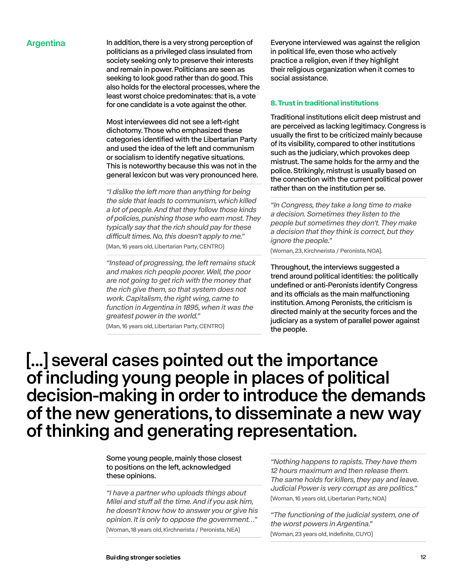Argentina In addition, there is a very strong perception of politicians as a privileged class insulated from society seeking only to preserve their interests and remain in power. Politicians are seen as seeking to look good rather than do good. This also holds for the electoral processes, where the least worst choice predominates: that is, a vote for one candidate is a vote against the other.

> Most interviewees did not see a left-right dichotomy. Those who emphasized these categories identified with the Libertarian Party and used the idea of the left and communism or socialism to identify negative situations. This is noteworthy because this was not in the general lexicon but was very pronounced here.

*"I dislike the left more than anything for being the side that leads to communism, which killed a lot of people. And that they follow those kinds of policies, punishing those who earn most. They typically say that the rich should pay for these*  difficult times. No, this doesn't apply to me." (Man, 16 years old, Libertarian Party, CENTRO)

*"Instead of progressing, the left remains stuck and makes rich people poorer. Well, the poor are not going to get rich with the money that the rich give them, so that system does not work. Capitalism, the right wing, came to function in Argentina in 1895, when it was the greatest power in the world."* 

(Man, 16 years old, Libertarian Party, CENTRO)

Everyone interviewed was against the religion in political life, even those who actively practice a religion, even if they highlight their religious organization when it comes to social assistance.

#### **8. Trust in traditional institutions**

Traditional institutions elicit deep mistrust and are perceived as lacking legitimacy. Congress is usually the first to be criticized mainly because of its visibility, compared to other institutions such as the judiciary, which provokes deep mistrust. The same holds for the army and the police. Strikingly, mistrust is usually based on the connection with the current political power rather than on the institution per se.

*"In Congress, they take a long time to make a decision. Sometimes they listen to the people but sometimes they don't. They make a decision that they think is correct, but they ignore the people."* 

(Woman, 23, Kirchnerista / Peronista, NOA).

Throughout, the interviews suggested a trend around political identities: the politically undefined or anti-Peronists identify Congress and its officials as the main malfunctioning institution. Among Peronists, the criticism is directed mainly at the security forces and the judiciary as a system of parallel power against the people.

## [...] several cases pointed out the importance of including young people in places of political decision-making in order to introduce the demands of the new generations, to disseminate a new way of thinking and generating representation.

Some young people, mainly those closest to positions on the left, acknowledged these opinions.

*"I have a partner who uploads things about*  Milei and stuff all the time. And if you ask him, *he doesn't know how to answer you or give his opinion. It is only to oppose the government…"*  (Woman, 18 years old, Kirchnerista / Peronista, NEA)

*"Nothing happens to rapists. They have them 12 hours maximum and then release them. The same holds for killers, they pay and leave. Judicial Power is very corrupt as are politics."* (Woman, 16 years old, Libertarian Party, NOA)

*"The functioning of the judicial system, one of the worst powers in Argentina."*  (Woman, 23 years old, Indefinite, CUYO)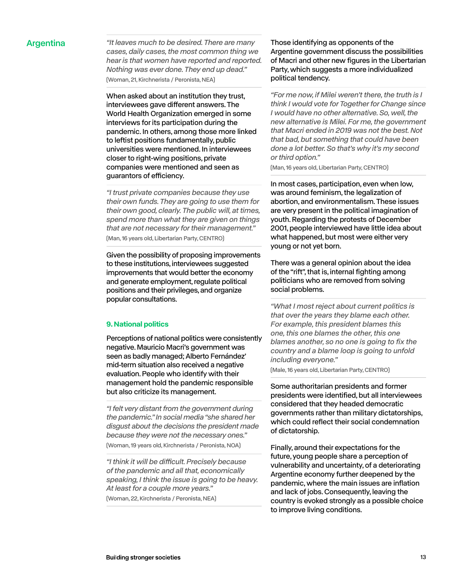Argentina *"It leaves much to be desired. There are many cases, daily cases, the most common thing we hear is that women have reported and reported. Nothing was ever done. They end up dead."*  (Woman, 21, Kirchnerista / Peronista, NEA)

> When asked about an institution they trust, interviewees gave different answers. The World Health Organization emerged in some interviews for its participation during the pandemic. In others, among those more linked to leftist positions fundamentally, public universities were mentioned. In interviewees closer to right-wing positions, private companies were mentioned and seen as guarantors of efficiency.

*"I trust private companies because they use their own funds. They are going to use them for their own good, clearly. The public will, at times, spend more than what they are given on things that are not necessary for their management."*  (Man, 16 years old, Libertarian Party, CENTRO)

Given the possibility of proposing improvements to these institutions, interviewees suggested improvements that would better the economy and generate employment, regulate political positions and their privileges, and organize popular consultations.

#### **9. National politics**

Perceptions of national politics were consistently negative. Mauricio Macri's government was seen as badly managed; Alberto Fernández' mid-term situation also received a negative evaluation. People who identify with their management hold the pandemic responsible but also criticize its management.

*"I felt very distant from the government during the pandemic." In social media "she shared her disgust about the decisions the president made because they were not the necessary ones."*  (Woman, 19 years old, Kirchnerista / Peronista, NOA)

"I think it will be difficult. Precisely because *of the pandemic and all that, economically speaking, I think the issue is going to be heavy. At least for a couple more years."*  (Woman, 22, Kirchnerista / Peronista, NEA)

Those identifying as opponents of the Argentine government discuss the possibilities of Macri and other new figures in the Libertarian Party, which suggests a more individualized political tendency.

*"For me now, if Milei weren't there, the truth is I think I would vote for Together for Change since I would have no other alternative. So, well, the new alternative is Milei. For me, the government that Macri ended in 2019 was not the best. Not that bad, but something that could have been done a lot better. So that's why it's my second or third option."* 

(Man, 16 years old, Libertarian Party, CENTRO)

In most cases, participation, even when low, was around feminism, the legalization of abortion, and environmentalism. These issues are very present in the political imagination of youth. Regarding the protests of December 2001, people interviewed have little idea about what happened, but most were either very young or not yet born.

There was a general opinion about the idea of the "rift", that is, internal fighting among politicians who are removed from solving social problems.

*"What I most reject about current politics is that over the years they blame each other. For example, this president blames this one, this one blames the other, this one blames another, so no one is going to fix the country and a blame loop is going to unfold including everyone."* 

(Male, 16 years old, Libertarian Party, CENTRO)

Some authoritarian presidents and former presidents were identified, but all interviewees considered that they headed democratic governments rather than military dictatorships, which could reflect their social condemnation of dictatorship.

Finally, around their expectations for the future, young people share a perception of vulnerability and uncertainty, of a deteriorating Argentine economy further deepened by the pandemic, where the main issues are inflation and lack of jobs. Consequently, leaving the country is evoked strongly as a possible choice to improve living conditions.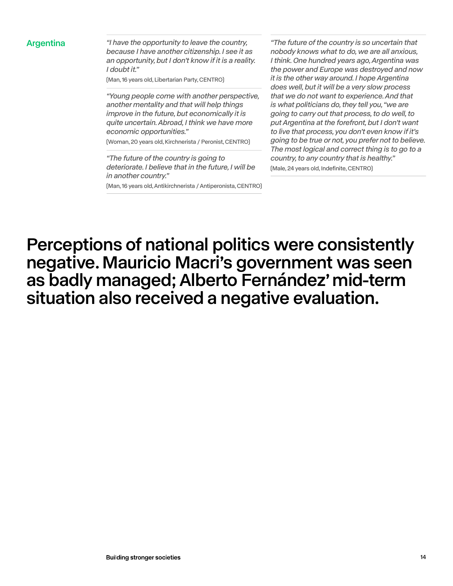Argentina *"I have the opportunity to leave the country, because I have another citizenship. I see it as an opportunity, but I don't know if it is a reality. I doubt it."* 

(Man, 16 years old, Libertarian Party, CENTRO)

*"Young people come with another perspective, another mentality and that will help things improve in the future, but economically it is quite uncertain. Abroad, I think we have more economic opportunities."* 

(Woman, 20 years old, Kirchnerista / Peronist, CENTRO)

*"The future of the country is going to deteriorate. I believe that in the future, I will be in another country."* 

(Man, 16 years old, Antikirchnerista / Antiperonista, CENTRO)

*"The future of the country is so uncertain that nobody knows what to do, we are all anxious, I think. One hundred years ago, Argentina was the power and Europe was destroyed and now it is the other way around. I hope Argentina does well, but it will be a very slow process that we do not want to experience. And that is what politicians do, they tell you, "we are going to carry out that process, to do well, to put Argentina at the forefront, but I don't want to live that process, you don't even know if it's going to be true or not, you prefer not to believe. The most logical and correct thing is to go to a country, to any country that is healthy."*  (Male, 24 years old, Indefinite, CENTRO)

Perceptions of national politics were consistently negative. Mauricio Macri's government was seen as badly managed; Alberto Fernández' mid-term situation also received a negative evaluation.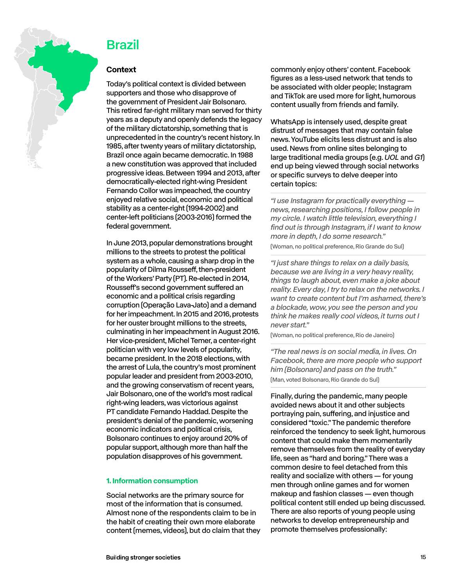<span id="page-14-0"></span>

### Brazil

### **Context**

Today's political context is divided between supporters and those who disapprove of the government of President Jair Bolsonaro. This retired far-right military man served for thirty years as a deputy and openly defends the legacy of the military dictatorship, something that is unprecedented in the country's recent history. In 1985, after twenty years of military dictatorship, Brazil once again became democratic. In 1988 a new constitution was approved that included progressive ideas. Between 1994 and 2013, after democratically-elected right-wing President Fernando Collor was impeached, the country enjoyed relative social, economic and political stability as a center-right (1994-2002) and center-left politicians (2003-2016) formed the federal government.

In June 2013, popular demonstrations brought millions to the streets to protest the political system as a whole, causing a sharp drop in the popularity of Dilma Rousseff, then-president of the Workers' Party (PT). Re-elected in 2014, Rousseff's second government suffered an economic and a political crisis regarding corruption (Operação Lava-Jato) and a demand for her impeachment. In 2015 and 2016, protests for her ouster brought millions to the streets, culminating in her impeachment in August 2016. Her vice-president, Michel Temer, a center-right politician with very low levels of popularity, became president. In the 2018 elections, with the arrest of Lula, the country's most prominent popular leader and president from 2003-2010, and the growing conservatism of recent years, Jair Bolsonaro, one of the world's most radical right-wing leaders, was victorious against PT candidate Fernando Haddad. Despite the president's denial of the pandemic, worsening economic indicators and political crisis, Bolsonaro continues to enjoy around 20% of popular support, although more than half the population disapproves of his government.

### **1. Information consumption**

Social networks are the primary source for most of the information that is consumed. Almost none of the respondents claim to be in the habit of creating their own more elaborate content (memes, videos), but do claim that they commonly enjoy others' content. Facebook figures as a less-used network that tends to be associated with older people; Instagram and TikTok are used more for light, humorous content usually from friends and family.

WhatsApp is intensely used, despite great distrust of messages that may contain false news. YouTube elicits less distrust and is also used. News from online sites belonging to large traditional media groups (e.g. *UOL* and *G1*) end up being viewed through social networks or specific surveys to delve deeper into certain topics:

*"I use Instagram for practically everything news, researching positions, I follow people in my circle. I watch little television, everything I find out is through Instagram, if I want to know more in depth, I do some research."* 

(Woman, no political preference, Rio Grande do Sul)

*"I just share things to relax on a daily basis, because we are living in a very heavy reality, things to laugh about, even make a joke about reality. Every day, I try to relax on the networks. I want to create content but I'm ashamed, there's a blockade, wow, you see the person and you think he makes really cool videos, it turns out I never start."* 

(Woman, no political preference, Rio de Janeiro)

*"The real news is on social media, in lives. On Facebook, there are more people who support him (Bolsonaro) and pass on the truth."*  (Man, voted Bolsonaro, Rio Grande do Sul)

Finally, during the pandemic, many people avoided news about it and other subjects portraying pain, suffering, and injustice and considered "toxic." The pandemic therefore reinforced the tendency to seek light, humorous content that could make them momentarily remove themselves from the reality of everyday life, seen as "hard and boring." There was a common desire to feel detached from this reality and socialize with others — for young men through online games and for women makeup and fashion classes — even though political content still ended up being discussed. There are also reports of young people using networks to develop entrepreneurship and promote themselves professionally: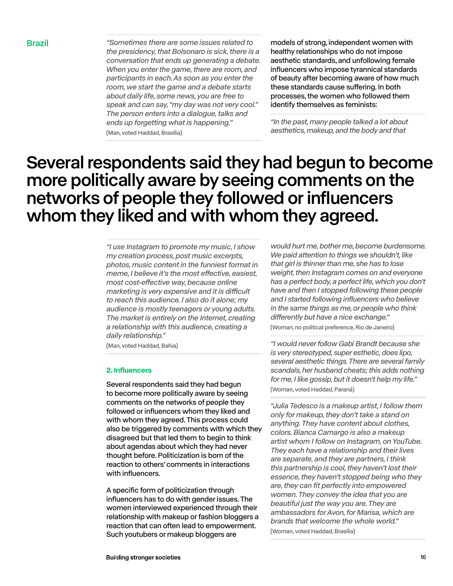Brazil *"Sometimes there are some issues related to the presidency, that Bolsonaro is sick, there is a conversation that ends up generating a debate. When you enter the game, there are room, and participants in each. As soon as you enter the room, we start the game and a debate starts about daily life, some news, you are free to speak and can say, "my day was not very cool." The person enters into a dialogue, talks and ends up forgetting what is happening."*  (Man, voted Haddad, Brasília)

models of strong, independent women with healthy relationships who do not impose aesthetic standards, and unfollowing female influencers who impose tyrannical standards of beauty after becoming aware of how much these standards cause suffering. In both processes, the women who followed them identify themselves as feminists:

*"In the past, many people talked a lot about aesthetics, makeup, and the body and that* 

## Several respondents said they had begun to become more politically aware by seeing comments on the networks of people they followed or influencers whom they liked and with whom they agreed.

*"I use Instagram to promote my music, I show my creation process, post music excerpts, photos, music content in the funniest format in*  meme, I believe it's the most effective, easiest, most cost-effective way, because online marketing is very expensive and it is difficult *to reach this audience. I also do it alone; my audience is mostly teenagers or young adults. The market is entirely on the Internet, creating a relationship with this audience, creating a daily relationship."* 

(Man, voted Haddad, Bahia)

#### **2. Influencers**

Several respondents said they had begun to become more politically aware by seeing comments on the networks of people they followed or influencers whom they liked and with whom they agreed. This process could also be triggered by comments with which they disagreed but that led them to begin to think about agendas about which they had never thought before. Politicization is born of the reaction to others' comments in interactions with influencers.

A specific form of politicization through influencers has to do with gender issues. The women interviewed experienced through their relationship with makeup or fashion bloggers a reaction that can often lead to empowerment. Such youtubers or makeup bloggers are

*would hurt me, bother me, become burdensome. We paid attention to things we shouldn't, like that girl is thinner than me, she has to lose weight, then Instagram comes on and everyone has a perfect body, a perfect life, which you don't have and then I stopped following these people and I started following influencers who believe in the same things as me, or people who think*  differently but have a nice exchange."

(Woman, no political preference, Rio de Janeiro)

*"I would never follow Gabi Brandt because she is very stereotyped, super esthetic, does lipo, several aesthetic things. There are several family scandals, her husband cheats; this adds nothing for me, I like gossip, but it doesn't help my life."*  (Woman, voted Haddad, Paraná)

*"Julia Tedesco is a makeup artist, I follow them only for makeup, they don't take a stand on anything. They have content about clothes, colors. Bianca Camargo is also a makeup artist whom I follow on Instagram, on YouTube. They each have a relationship and their lives are separate, and they are partners, I think this partnership is cool, they haven't lost their essence, they haven't stopped being who they are, they can fit perfectly into empowered women. They convey the idea that you are beautiful just the way you are. They are ambassadors for Avon, for Marisa, which are brands that welcome the whole world."* (Woman, voted Haddad, Brasília)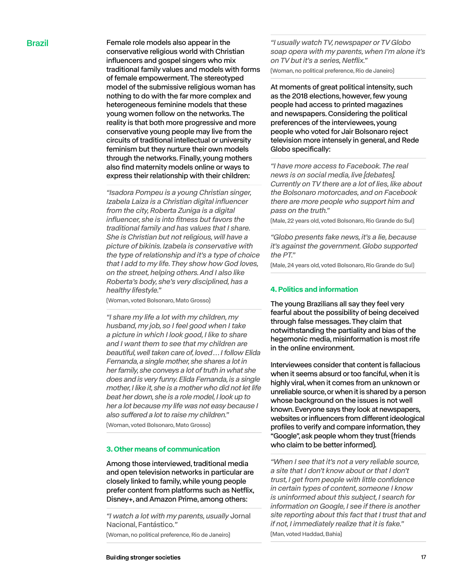Brazil **Brazil** Female role models also appear in the conservative religious world with Christian influencers and gospel singers who mix traditional family values and models with forms of female empowerment. The stereotyped model of the submissive religious woman has nothing to do with the far more complex and heterogeneous feminine models that these young women follow on the networks. The reality is that both more progressive and more conservative young people may live from the circuits of traditional intellectual or university feminism but they nurture their own models through the networks. Finally, young mothers also find maternity models online or ways to express their relationship with their children:

> *"Isadora Pompeu is a young Christian singer, Izabela Laiza is a Christian digital influencer from the city, Roberta Zuniga is a digital influencer, she is into fitness but favors the traditional family and has values that I share. She is Christian but not religious, will have a picture of bikinis. Izabela is conservative with the type of relationship and it's a type of choice that I add to my life. They show how God loves, on the street, helping others. And I also like Roberta's body, she's very disciplined, has a healthy lifestyle."*

(Woman, voted Bolsonaro, Mato Grosso)

*"I share my life a lot with my children, my husband, my job, so I feel good when I take a picture in which I look good, I like to share and I want them to see that my children are beautiful, well taken care of, loved … I follow Elida Fernanda, a single mother, she shares a lot in her family, she conveys a lot of truth in what she does and is very funny. Elida Fernanda, is a single mother, I like it, she is a mother who did not let life beat her down, she is a role model, I look up to her a lot because my life was not easy because I*  also suffered a lot to raise my children."

(Woman, voted Bolsonaro, Mato Grosso)

#### **3. Other means of communication**

Among those interviewed, traditional media and open television networks in particular are closely linked to family, while young people prefer content from platforms such as Netflix, Disney+, and Amazon Prime, among others:

*"I watch a lot with my parents, usually* Jornal Nacional, Fantástico.*"* 

(Woman, no political preference, Rio de Janeiro)

(Woman, no political preference, Rio de Janeiro)

At moments of great political intensity, such as the 2018 elections, however, few young people had access to printed magazines and newspapers. Considering the political preferences of the interviewees, young people who voted for Jair Bolsonaro reject television more intensely in general, and Rede Globo specifically:

*"I have more access to Facebook. The real news is on social media, live [debates]. Currently on TV there are a lot of lies, like about the Bolsonaro motorcades, and on Facebook there are more people who support him and pass on the truth."* 

(Male, 22 years old, voted Bolsonaro, Rio Grande do Sul)

*"Globo presents fake news, it's a lie, because it's against the government. Globo supported the PT."* 

(Male, 24 years old, voted Bolsonaro, Rio Grande do Sul)

#### **4. Politics and information**

The young Brazilians all say they feel very fearful about the possibility of being deceived through false messages. They claim that notwithstanding the partiality and bias of the hegemonic media, misinformation is most rife in the online environment.

Interviewees consider that content is fallacious when it seems absurd or too fanciful, when it is highly viral, when it comes from an unknown or unreliable source, or when it is shared by a person whose background on the issues is not well known. Everyone says they look at newspapers, websites or influencers from different ideological profiles to verify and compare information, they "Google", ask people whom they trust (friends who claim to be better informed).

*"When I see that it's not a very reliable source, a site that I don't know about or that I don't trust, I get from people with little confidence in certain types of content, someone I know is uninformed about this subject, I search for information on Google, I see if there is another site reporting about this fact that I trust that and if not, I immediately realize that it is fake."*  (Man, voted Haddad, Bahia)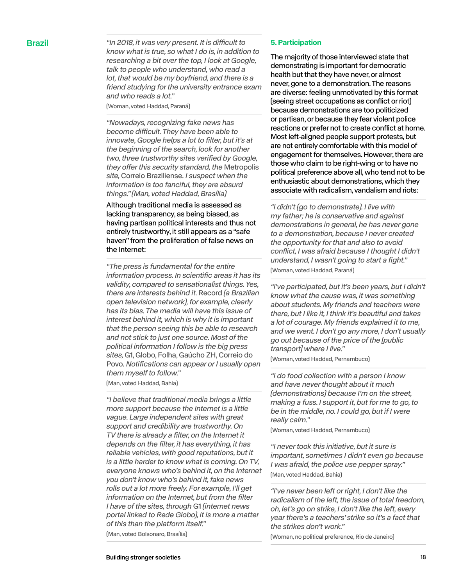**Brazil** The 2018, it was very present. It is difficult to *know what is true, so what I do is, in addition to researching a bit over the top, I look at Google, talk to people who understand, who read a lot, that would be my boyfriend, and there is a friend studying for the university entrance exam and who reads a lot."* 

(Woman, voted Haddad, Paraná)

*"Nowadays, recognizing fake news has*  become difficult. They have been able to *innovate, Google helps a lot to filter, but it's at the beginning of the search, look for another two, three trustworthy sites verified by Google,*  they offer this security standard, the Metropolis *site,* Correio Braziliense. *I suspect when the information is too fanciful, they are absurd things." (Man, voted Haddad, Brasília)*

Although traditional media is assessed as lacking transparency, as being biased, as having partisan political interests and thus not entirely trustworthy, it still appears as a "safe haven" from the proliferation of false news on the Internet:

*"The press is fundamental for the entire information process. In scientific areas it has its validity, compared to sensationalist things. Yes, there are interests behind it.* Record *(a Brazilian open television network), for example, clearly has its bias. The media will have this issue of interest behind it, which is why it is important that the person seeing this be able to research and not stick to just one source. Most of the political information I follow is the big press sites,* G1, Globo, Folha, Gaúcho ZH, Correio do Povo. *Notifications can appear or I usually open them myself to follow."* 

(Man, voted Haddad, Bahia)

*"I believe that traditional media brings a little more support because the Internet is a little vague. Large independent sites with great support and credibility are trustworthy. On TV there is already a filter, on the Internet it depends on the filter, it has everything, it has reliable vehicles, with good reputations, but it is a little harder to know what is coming. On TV, everyone knows who's behind it, on the Internet you don't know who's behind it, fake news rolls out a lot more freely. For example, I'll get information on the Internet, but from the filter I have of the sites, through* G1 *(internet news portal linked to Rede Globo), it is more a matter of this than the platform itself."* 

(Man, voted Bolsonaro, Brasília)

#### **5. Participation**

The majority of those interviewed state that demonstrating is important for democratic health but that they have never, or almost never, gone to a demonstration. The reasons are diverse: feeling unmotivated by this format (seeing street occupations as conflict or riot) because demonstrations are too politicized or partisan, or because they fear violent police reactions or prefer not to create conflict at home. Most left-aligned people support protests, but are not entirely comfortable with this model of engagement for themselves. However, there are those who claim to be right-wing or to have no political preference above all, who tend not to be enthusiastic about demonstrations, which they associate with radicalism, vandalism and riots:

*"I didn't (go to demonstrate). I live with my father; he is conservative and against demonstrations in general, he has never gone to a demonstration, because I never created the opportunity for that and also to avoid conflict, I was afraid because I thought I didn't understand, I wasn't going to start a fight."*  (Woman, voted Haddad, Paraná)

*"I've participated, but it's been years, but I didn't know what the cause was, it was something about students. My friends and teachers were there, but I like it, I think it's beautiful and takes a lot of courage. My friends explained it to me, and we went. I don't go any more, I don't usually go out because of the price of the [public transport] where I live."* 

(Woman, voted Haddad, Pernambuco)

*"I do food collection with a person I know and have never thought about it much (demonstrations) because I'm on the street, making a fuss. I support it, but for me to go, to be in the middle, no. I could go, but if I were really calm."* 

(Woman, voted Haddad, Pernambuco)

*"I never took this initiative, but it sure is important, sometimes I didn't even go because I was afraid, the police use pepper spray."*  (Man, voted Haddad, Bahia)

*"I've never been left or right, I don't like the radicalism of the left, the issue of total freedom, oh, let's go on strike, I don't like the left, every year there's a teachers' strike so it's a fact that the strikes don't work."* 

(Woman, no political preference, Rio de Janeiro)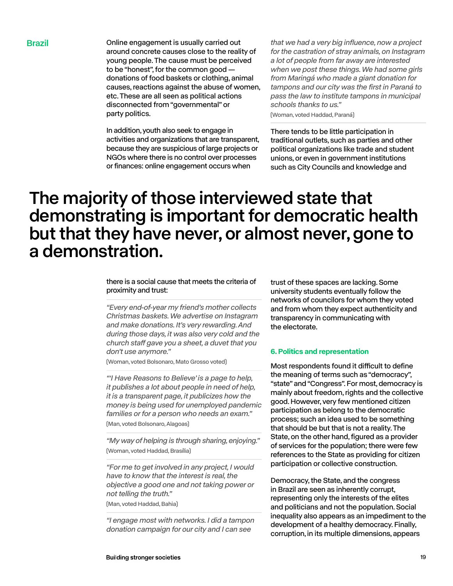**Brazil Example 20** Online engagement is usually carried out around concrete causes close to the reality of young people. The cause must be perceived to be "honest", for the common good donations of food baskets or clothing, animal causes, reactions against the abuse of women, etc. These are all seen as political actions disconnected from "governmental" or party politics.

> In addition, youth also seek to engage in activities and organizations that are transparent, because they are suspicious of large projects or NGOs where there is no control over processes or finances: online engagement occurs when

*that we had a very big influence, now a project for the castration of stray animals, on Instagram a lot of people from far away are interested when we post these things. We had some girls from Maringá who made a giant donation for tampons and our city was the first in Paraná to pass the law to institute tampons in municipal schools thanks to us."* 

(Woman, voted Haddad, Paraná)

There tends to be little participation in traditional outlets, such as parties and other political organizations like trade and student unions, or even in government institutions such as City Councils and knowledge and

## The majority of those interviewed state that demonstrating is important for democratic health but that they have never, or almost never, gone to a demonstration.

#### there is a social cause that meets the criteria of proximity and trust:

*"Every end-of-year my friend's mother collects Christmas baskets. We advertise on Instagram and make donations. It's very rewarding. And during those days, it was also very cold and the*  church staff gave you a sheet, a duvet that you *don't use anymore."* 

(Woman, voted Bolsonaro, Mato Grosso voted)

*"'I Have Reasons to Believe' is a page to help, it publishes a lot about people in need of help, it is a transparent page, it publicizes how the money is being used for unemployed pandemic families or for a person who needs an exam."*  (Man, voted Bolsonaro, Alagoas)

*"My way of helping is through sharing, enjoying."*  (Woman, voted Haddad, Brasília)

*"For me to get involved in any project, I would have to know that the interest is real, the objective a good one and not taking power or not telling the truth."* 

(Man, voted Haddad, Bahia)

*"I engage most with networks. I did a tampon donation campaign for our city and I can see* 

trust of these spaces are lacking. Some university students eventually follow the networks of councilors for whom they voted and from whom they expect authenticity and transparency in communicating with the electorate.

#### **6. Politics and representation**

Most respondents found it difficult to define the meaning of terms such as "democracy", "state" and "Congress". For most, democracy is mainly about freedom, rights and the collective good. However, very few mentioned citizen participation as belong to the democratic process; such an idea used to be something that should be but that is not a reality. The State, on the other hand, figured as a provider of services for the population; there were few references to the State as providing for citizen participation or collective construction.

Democracy, the State, and the congress in Brazil are seen as inherently corrupt, representing only the interests of the elites and politicians and not the population. Social inequality also appears as an impediment to the development of a healthy democracy. Finally, corruption, in its multiple dimensions, appears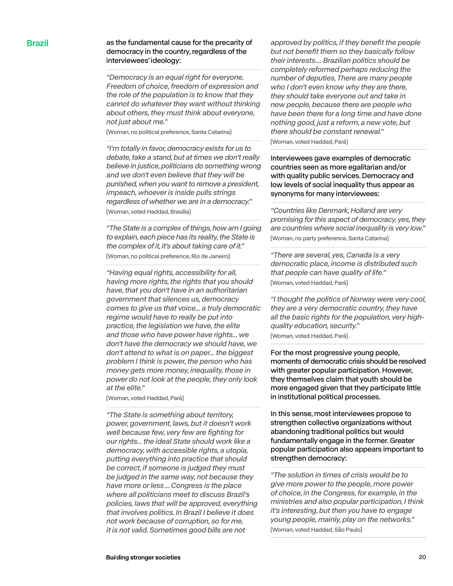### Brazil as the fundamental cause for the precarity of democracy in the country, regardless of the interviewees' ideology:

*"Democracy is an equal right for everyone. Freedom of choice, freedom of expression and the role of the population is to know that they cannot do whatever they want without thinking about others, they must think about everyone, not just about me."* 

(Woman, no political preference, Santa Catarina)

*"I'm totally in favor, democracy exists for us to debate, take a stand, but at times we don't really believe in justice, politicians do something wrong and we don't even believe that they will be punished, when you want to remove a president, impeach, whoever is inside pulls strings regardless of whether we are in a democracy."*  (Woman, voted Haddad, Brasília)

*"The State is a complex of things, how am I going to explain, each piece has its reality, the State is the complex of it, it's about taking care of it."*  (Woman, no political preference, Rio de Janeiro)

*"Having equal rights, accessibility for all, having more rights, the rights that you should have, that you don't have in an authoritarian government that silences us, democracy comes to give us that voice... a truly democratic regime would have to really be put into practice, the legislation we have, the elite and those who have power have rights... we don't have the democracy we should have, we don't attend to what is on paper... the biggest problem I think is power, the person who has money gets more money, inequality, those in power do not look at the people, they only look at the elite."* 

(Woman, voted Haddad, Pará)

*"The State is something about territory, power, government, laws, but it doesn't work well because few, very few are fighting for our rights... the ideal State should work like a democracy, with accessible rights, a utopia, putting everything into practice that should be correct, if someone is judged they must be judged in the same way, not because they have more or less ... Congress is the place where all politicians meet to discuss Brazil's policies, laws that will be approved, everything that involves politics. In Brazil I believe it does not work because of corruption, so for me, it is not valid. Sometimes good bills are not* 

*approved by politics, if they benefit the people but not benefit them so they basically follow their interests.... Brazilian politics should be completely reformed perhaps reducing the number of deputies, There are many people who I don't even know why they are there, they should take everyone out and take in new people, because there are people who have been there for a long time and have done nothing good, just a reform, a new vote, but there should be constant renewal."* 

(Woman, voted Haddad, Pará)

Interviewees gave examples of democratic countries seen as more egalitarian and/or with quality public services. Democracy and low levels of social inequality thus appear as synonyms for many interviewees:

*"Countries like Denmark, Holland are very promising for this aspect of democracy, yes, they are countries where social inequality is very low."*  (Woman, no party preference, Santa Catarina)

*"There are several, yes, Canada is a very democratic place, income is distributed such that people can have quality of life."*  (Woman, voted Haddad, Pará)

*"I thought the politics of Norway were very cool, they are a very democratic country, they have all the basic rights for the population, very highquality education, security."* 

(Woman, voted Haddad, Pará)

For the most progressive young people, moments of democratic crisis should be resolved with greater popular participation. However, they themselves claim that youth should be more engaged given that they participate little in institutional political processes.

In this sense, most interviewees propose to strengthen collective organizations without abandoning traditional politics but would fundamentally engage in the former. Greater popular participation also appears important to strengthen democracy:

*"The solution in times of crisis would be to give more power to the people, more power of choice, in the Congress, for example, in the ministries and also popular participation, I think it's interesting, but then you have to engage young people, mainly, play on the networks."*  (Woman, voted Haddad, São Paulo)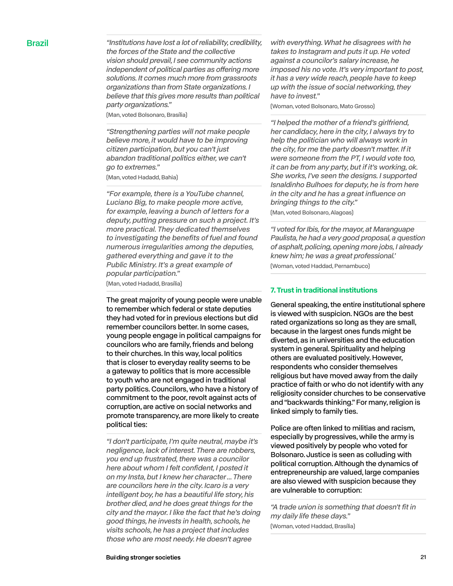Brazil *"Institutions have lost a lot of reliability, credibility, the forces of the State and the collective vision should prevail, I see community actions*  independent of political parties as offering more *solutions. It comes much more from grassroots organizations than from State organizations. I believe that this gives more results than political party organizations."* 

(Man, voted Bolsonaro, Brasília)

*"Strengthening parties will not make people believe more, it would have to be improving citizen participation, but you can't just abandon traditional politics either, we can't go to extremes."* 

(Man, voted Hadadd, Bahia)

*"For example, there is a YouTube channel, Luciano Big, to make people more active, for example, leaving a bunch of letters for a deputy, putting pressure on such a project. It's more practical. They dedicated themselves to investigating the benefits of fuel and found numerous irregularities among the deputies, gathered everything and gave it to the Public Ministry. It's a great example of popular participation."*  (Man, voted Hadadd, Brasília)

The great majority of young people were unable to remember which federal or state deputies they had voted for in previous elections but did remember councilors better. In some cases, young people engage in political campaigns for councilors who are family, friends and belong to their churches. In this way, local politics that is closer to everyday reality seems to be a gateway to politics that is more accessible to youth who are not engaged in traditional party politics. Councilors, who have a history of commitment to the poor, revolt against acts of corruption, are active on social networks and promote transparency, are more likely to create political ties:

*"I don't participate, I'm quite neutral, maybe it's negligence, lack of interest. There are robbers, you end up frustrated, there was a councilor here about whom I felt confident, I posted it on my Insta, but I knew her character ... There are councilors here in the city. Icaro is a very intelligent boy, he has a beautiful life story, his brother died, and he does great things for the city and the mayor. I like the fact that he's doing good things, he invests in health, schools, he visits schools, he has a project that includes those who are most needy. He doesn't agree* 

*with everything. What he disagrees with he takes to Instagram and puts it up. He voted against a councilor's salary increase, he imposed his no vote. It's very important to post, it has a very wide reach, people have to keep up with the issue of social networking, they have to invest."* 

(Woman, voted Bolsonaro, Mato Grosso)

*"I helped the mother of a friend's girlfriend, her candidacy, here in the city, I always try to help the politician who will always work in the city, for me the party doesn't matter. If it were someone from the PT, I would vote too, it can be from any party, but if it's working, ok. She works, I've seen the designs. I supported Isnaldinho Bulhoes for deputy, he is from here in the city and he has a great influence on bringing things to the city."* 

(Man, voted Bolsonaro, Alagoas)

*"I voted for Ibis, for the mayor, at Maranguape Paulista, he had a very good proposal, a question of asphalt, policing, opening more jobs, I already knew him; he was a great professional.'*  (Woman, voted Haddad, Pernambuco)

### **7. Trust in traditional institutions**

General speaking, the entire institutional sphere is viewed with suspicion. NGOs are the best rated organizations so long as they are small, because in the largest ones funds might be diverted, as in universities and the education system in general. Spirituality and helping others are evaluated positively. However, respondents who consider themselves religious but have moved away from the daily practice of faith or who do not identify with any religiosity consider churches to be conservative and "backwards thinking." For many, religion is linked simply to family ties.

Police are often linked to militias and racism, especially by progressives, while the army is viewed positively by people who voted for Bolsonaro. Justice is seen as colluding with political corruption. Although the dynamics of entrepreneurship are valued, large companies are also viewed with suspicion because they are vulnerable to corruption:

*"A trade union is something that doesn't fit in my daily life these days."*  (Woman, voted Haddad, Brasília)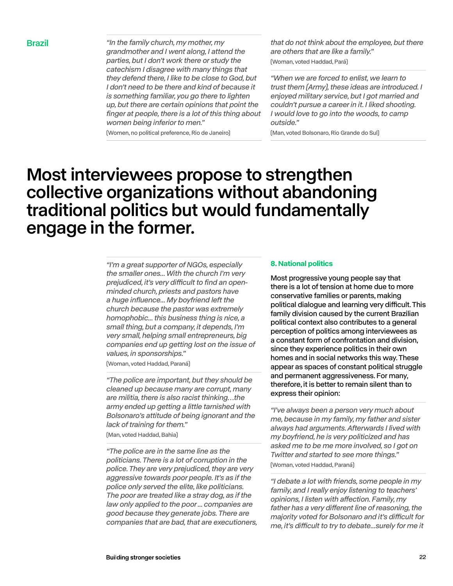Brazil *"In the family church, my mother, my grandmother and I went along, I attend the parties, but I don't work there or study the catechism I disagree with many things that they defend there, I like to be close to God, but I don't need to be there and kind of because it is something familiar, you go there to lighten up, but there are certain opinions that point the finger at people, there is a lot of this thing about women being inferior to men."* 

(Women, no political preference, Rio de Janeiro)

*that do not think about the employee, but there are others that are like a family."*  (Woman, voted Haddad, Pará)

*"When we are forced to enlist, we learn to trust them (Army), these ideas are introduced. I enjoyed military service, but I got married and couldn't pursue a career in it. I liked shooting. I would love to go into the woods, to camp outside."* 

(Man, voted Bolsonaro, Rio Grande do Sul)

## Most interviewees propose to strengthen collective organizations without abandoning traditional politics but would fundamentally engage in the former.

*"I'm a great supporter of NGOs, especially the smaller ones... With the church I'm very*  prejudiced, it's very difficult to find an open*minded church, priests and pastors have a huge influence... My boyfriend left the church because the pastor was extremely homophobic... this business thing is nice, a small thing, but a company, it depends, I'm very small, helping small entrepreneurs, big companies end up getting lost on the issue of values, in sponsorships."* 

(Woman, voted Haddad, Paraná)

*"The police are important, but they should be cleaned up because many are corrupt, many are militia, there is also racist thinking…the army ended up getting a little tarnished with Bolsonaro's attitude of being ignorant and the lack of training for them."* 

(Man, voted Haddad, Bahia)

*"The police are in the same line as the politicians. There is a lot of corruption in the police. They are very prejudiced, they are very aggressive towards poor people. It's as if the police only served the elite, like politicians. The poor are treated like a stray dog, as if the law only applied to the poor ... companies are good because they generate jobs. There are companies that are bad, that are executioners,* 

#### **8. National politics**

Most progressive young people say that there is a lot of tension at home due to more conservative families or parents, making political dialogue and learning very difficult. This family division caused by the current Brazilian political context also contributes to a general perception of politics among interviewees as a constant form of confrontation and division, since they experience politics in their own homes and in social networks this way. These appear as spaces of constant political struggle and permanent aggressiveness. For many, therefore, it is better to remain silent than to express their opinion:

*"I've always been a person very much about me, because in my family, my father and sister always had arguments. Afterwards I lived with my boyfriend, he is very politicized and has asked me to be me more involved, so I got on Twitter and started to see more things."* 

(Woman, voted Haddad, Paraná)

*"I debate a lot with friends, some people in my family, and I really enjoy listening to teachers'*  opinions, I listen with affection. Family, my father has a very different line of reasoning, the majority voted for Bolsonaro and it's difficult for me, it's difficult to try to debate...surely for me it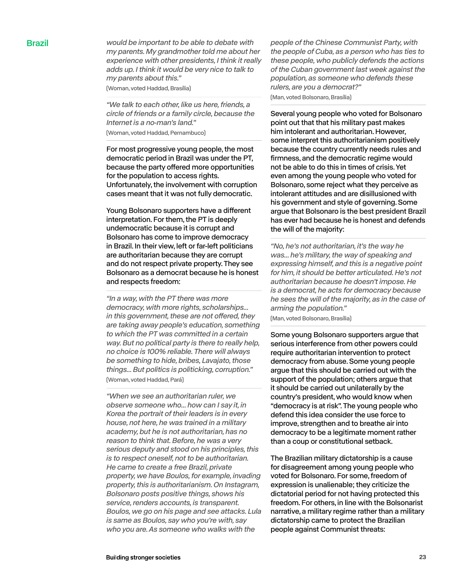Brazil *would be important to be able to debate with my parents. My grandmother told me about her experience with other presidents, I think it really adds up. I think it would be very nice to talk to my parents about this."*  (Woman, voted Haddad, Brasília)

> *"We talk to each other, like us here, friends, a circle of friends or a family circle, because the Internet is a no-man's land."*  (Woman, voted Haddad, Pernambuco)

For most progressive young people, the most democratic period in Brazil was under the PT, because the party offered more opportunities for the population to access rights. Unfortunately, the involvement with corruption cases meant that it was not fully democratic.

Young Bolsonaro supporters have a different interpretation. For them, the PT is deeply undemocratic because it is corrupt and Bolsonaro has come to improve democracy in Brazil. In their view, left or far-left politicians are authoritarian because they are corrupt and do not respect private property. They see Bolsonaro as a democrat because he is honest and respects freedom:

*"In a way, with the PT there was more democracy, with more rights, scholarships...* in this government, these are not offered, they *are taking away people's education, something to which the PT was committed in a certain way. But no political party is there to really help, no choice is 100% reliable. There will always be something to hide, bribes, Lavajato, those things... But politics is politicking, corruption."*  (Woman, voted Haddad, Pará)

*"When we see an authoritarian ruler, we observe someone who... how can I say it, in Korea the portrait of their leaders is in every house, not here, he was trained in a military academy, but he is not authoritarian, has no reason to think that. Before, he was a very serious deputy and stood on his principles, this is to respect oneself, not to be authoritarian. He came to create a free Brazil, private property, we have Boulos, for example, invading property, this is authoritarianism. On Instagram, Bolsonaro posts positive things, shows his service, renders accounts, is transparent. Boulos, we go on his page and see attacks. Lula is same as Boulos, say who you're with, say who you are. As someone who walks with the* 

*people of the Chinese Communist Party, with the people of Cuba, as a person who has ties to these people, who publicly defends the actions of the Cuban government last week against the population, as someone who defends these rulers, are you a democrat?"*  (Man, voted Bolsonaro, Brasília)

Several young people who voted for Bolsonaro point out that that his military past makes him intolerant and authoritarian. However, some interpret this authoritarianism positively because the country currently needs rules and firmness, and the democratic regime would not be able to do this in times of crisis. Yet even among the young people who voted for Bolsonaro, some reject what they perceive as intolerant attitudes and are disillusioned with his government and style of governing. Some argue that Bolsonaro is the best president Brazil has ever had because he is honest and defends the will of the majority:

*"No, he's not authoritarian, it's the way he was... he's military, the way of speaking and expressing himself, and this is a negative point for him, it should be better articulated. He's not authoritarian because he doesn't impose. He is a democrat, he acts for democracy because he sees the will of the majority, as in the case of arming the population."* 

(Man, voted Bolsonaro, Brasília)

Some young Bolsonaro supporters argue that serious interference from other powers could require authoritarian intervention to protect democracy from abuse. Some young people argue that this should be carried out with the support of the population; others argue that it should be carried out unilaterally by the country's president, who would know when "democracy is at risk". The young people who defend this idea consider the use force to improve, strengthen and to breathe air into democracy to be a legitimate moment rather than a coup or constitutional setback.

The Brazilian military dictatorship is a cause for disagreement among young people who voted for Bolsonaro. For some, freedom of expression is unalienable; they criticize the dictatorial period for not having protected this freedom. For others, in line with the Bolsonarist narrative, a military regime rather than a military dictatorship came to protect the Brazilian people against Communist threats: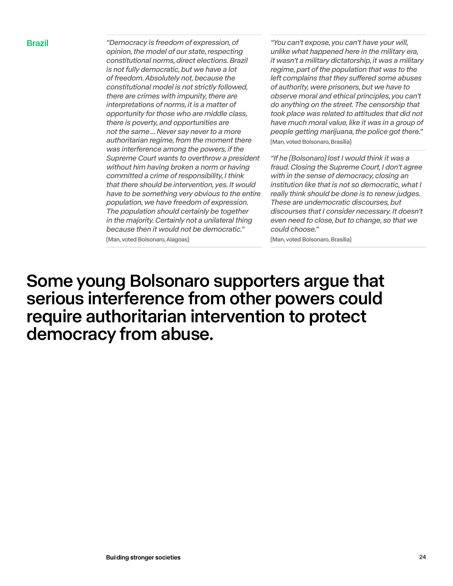Brazil *"Democracy is freedom of expression, of opinion, the model of our state, respecting constitutional norms, direct elections. Brazil is not fully democratic, but we have a lot of freedom. Absolutely not, because the constitutional model is not strictly followed, there are crimes with impunity, there are interpretations of norms, it is a matter of opportunity for those who are middle class, there is poverty, and opportunities are not the same ... Never say never to a more authoritarian regime, from the moment there was interference among the powers, if the Supreme Court wants to overthrow a president without him having broken a norm or having committed a crime of responsibility, I think that there should be intervention, yes. It would have to be something very obvious to the entire population, we have freedom of expression. The population should certainly be together in the majority. Certainly not a unilateral thing because then it would not be democratic."*  (Man, voted Bolsonaro, Alagoas)

*"You can't expose, you can't have your will, unlike what happened here in the military era, it wasn't a military dictatorship, it was a military regime, part of the population that was to the*  left complains that they suffered some abuses *of authority, were prisoners, but we have to observe moral and ethical principles, you can't do anything on the street. The censorship that took place was related to attitudes that did not have much moral value, like it was in a group of people getting marijuana, the police got there."*  (Man, voted Bolsonaro, Brasília)

*"If he (Bolsonaro) lost I would think it was a fraud. Closing the Supreme Court, I don't agree with in the sense of democracy, closing an institution like that is not so democratic, what I really think should be done is to renew judges. These are undemocratic discourses, but discourses that I consider necessary. It doesn't even need to close, but to change, so that we could choose."* 

(Man, voted Bolsonaro, Brasília)

Some young Bolsonaro supporters argue that serious interference from other powers could require authoritarian intervention to protect democracy from abuse.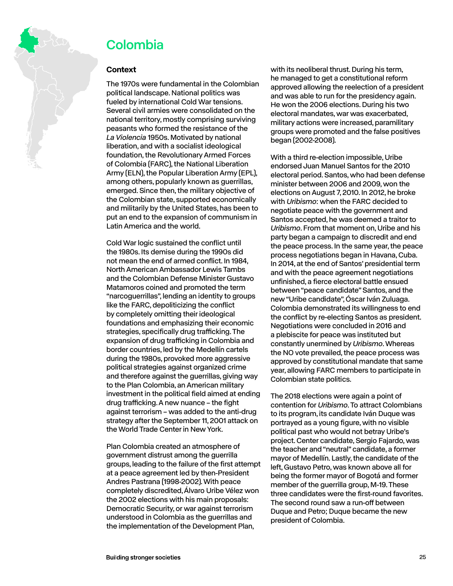<span id="page-24-0"></span>

## Colombia

### **Context**

The 1970s were fundamental in the Colombian political landscape. National politics was fueled by international Cold War tensions. Several civil armies were consolidated on the national territory, mostly comprising surviving peasants who formed the resistance of the *La Violencia* 1950s. Motivated by national liberation, and with a socialist ideological foundation, the Revolutionary Armed Forces of Colombia (FARC), the National Liberation Army (ELN), the Popular Liberation Army (EPL), among others, popularly known as guerrillas, emerged. Since then, the military objective of the Colombian state, supported economically and militarily by the United States, has been to put an end to the expansion of communism in Latin America and the world.

Cold War logic sustained the conflict until the 1980s. Its demise during the 1990s did not mean the end of armed conflict. In 1984, North American Ambassador Lewis Tambs and the Colombian Defense Minister Gustavo Matamoros coined and promoted the term "narcoguerrillas", lending an identity to groups like the FARC, depoliticizing the conflict by completely omitting their ideological foundations and emphasizing their economic strategies, specifically drug trafficking. The expansion of drug trafficking in Colombia and border countries, led by the Medellín cartels during the 1980s, provoked more aggressive political strategies against organized crime and therefore against the guerrillas, giving way to the Plan Colombia, an American military investment in the political field aimed at ending drug trafficking. A new nuance – the fight against terrorism – was added to the anti-drug strategy after the September 11, 2001 attack on the World Trade Center in New York.

Plan Colombia created an atmosphere of government distrust among the guerrilla groups, leading to the failure of the first attempt at a peace agreement led by then-President Andres Pastrana (1998-2002). With peace completely discredited, Álvaro Uribe Vélez won the 2002 elections with his main proposals: Democratic Security, or war against terrorism understood in Colombia as the guerrillas and the implementation of the Development Plan,

with its neoliberal thrust. During his term, he managed to get a constitutional reform approved allowing the reelection of a president and was able to run for the presidency again. He won the 2006 elections. During his two electoral mandates, war was exacerbated, military actions were increased, paramilitary groups were promoted and the false positives began (2002-2008).

With a third re-election impossible, Uribe endorsed Juan Manuel Santos for the 2010 electoral period. Santos, who had been defense minister between 2006 and 2009, won the elections on August 7, 2010. In 2012, he broke with *Uribismo*: when the FARC decided to negotiate peace with the government and Santos accepted, he was deemed a traitor to *Uribismo*. From that moment on, Uribe and his party began a campaign to discredit and end the peace process. In the same year, the peace process negotiations began in Havana, Cuba. In 2014, at the end of Santos' presidential term and with the peace agreement negotiations unfinished, a fierce electoral battle ensued between "peace candidate" Santos, and the new "Uribe candidate", Óscar Iván Zuluaga. Colombia demonstrated its willingness to end the conflict by re-electing Santos as president. Negotiations were concluded in 2016 and a plebiscite for peace was instituted but constantly unermined by *Uribismo*. Whereas the NO vote prevailed, the peace process was approved by constitutional mandate that same year, allowing FARC members to participate in Colombian state politics.

The 2018 elections were again a point of contention for *Uribismo*. To attract Colombians to its program, its candidate Iván Duque was portrayed as a young figure, with no visible political past who would not betray Uribe's project. Center candidate, Sergio Fajardo, was the teacher and "neutral" candidate, a former mayor of Medellín. Lastly, the candidate of the left, Gustavo Petro, was known above all for being the former mayor of Bogotá and former member of the guerrilla group, M-19. These three candidates were the first-round favorites. The second round saw a run-off between Duque and Petro; Duque became the new president of Colombia.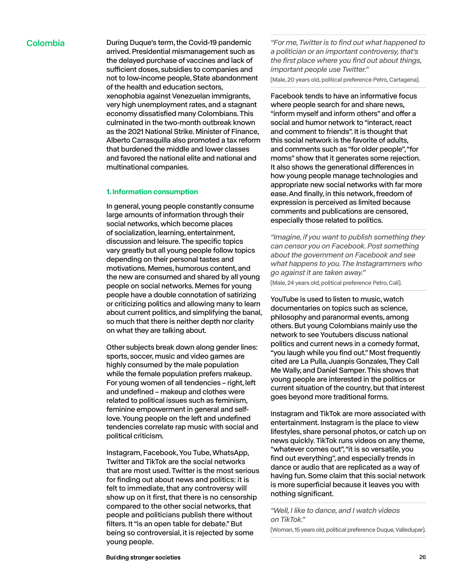Colombia During Duque's term, the Covid-19 pandemic arrived. Presidential mismanagement such as the delayed purchase of vaccines and lack of sufficient doses, subsidies to companies and not to low-income people, State abandonment of the health and education sectors, xenophobia against Venezuelan immigrants, very high unemployment rates, and a stagnant economy dissatisfied many Colombians. This culminated in the two-month outbreak known as the 2021 National Strike. Minister of Finance, Alberto Carrasquilla also promoted a tax reform that burdened the middle and lower classes and favored the national elite and national and multinational companies.

#### **1. Information consumption**

In general, young people constantly consume large amounts of information through their social networks, which become places of socialization, learning, entertainment, discussion and leisure. The specific topics vary greatly but all young people follow topics depending on their personal tastes and motivations. Memes, humorous content, and the new are consumed and shared by all young people on social networks. Memes for young people have a double connotation of satirizing or criticizing politics and allowing many to learn about current politics, and simplifying the banal, so much that there is neither depth nor clarity on what they are talking about.

Other subjects break down along gender lines: sports, soccer, music and video games are highly consumed by the male population while the female population prefers makeup. For young women of all tendencies – right, left and undefined – makeup and clothes were related to political issues such as feminism, feminine empowerment in general and selflove. Young people on the left and undefined tendencies correlate rap music with social and political criticism.

Instagram, Facebook, You Tube, WhatsApp, Twitter and TikTok are the social networks that are most used. Twitter is the most serious for finding out about news and politics: it is felt to immediate, that any controversy will show up on it first, that there is no censorship compared to the other social networks, that people and politicians publish there without filters. It "is an open table for debate." But being so controversial, it is rejected by some young people.

*"For me, Twitter is to find out what happened to a politician or an important controversy, that's the first place where you find out about things, important people use Twitter."* 

(Male, 20 years old, political preference Petro, Cartagena).

Facebook tends to have an informative focus where people search for and share news, "inform myself and inform others" and offer a social and humor network to "interact, react and comment to friends". It is thought that this social network is the favorite of adults, and comments such as "for older people", "for moms" show that it generates some rejection. It also shows the generational differences in how young people manage technologies and appropriate new social networks with far more ease. And finally, in this network, freedom of expression is perceived as limited because comments and publications are censored, especially those related to politics.

*"Imagine, if you want to publish something they can censor you on Facebook. Post something about the government on Facebook and see what happens to you. The Instagrammers who go against it are taken away."* 

(Male, 24 years old, political preference Petro, Cali).

YouTube is used to listen to music, watch documentaries on topics such as science, philosophy and paranormal events, among others. But young Colombians mainly use the network to see Youtubers discuss national politics and current news in a comedy format, "you laugh while you find out." Most frequently cited are La Pulla, Juanpis Gonzales, They Call Me Wally, and Daniel Samper. This shows that young people are interested in the politics or current situation of the country, but that interest goes beyond more traditional forms.

Instagram and TikTok are more associated with entertainment. Instagram is the place to view lifestyles, share personal photos, or catch up on news quickly. TikTok runs videos on any theme, "whatever comes out", "it is so versatile, you find out everything", and especially trends in dance or audio that are replicated as a way of having fun. Some claim that this social network is more superficial because it leaves you with nothing significant.

*"Well, I like to dance, and I watch videos on TikTok."* 

(Woman, 15 years old, political preference Duque, Valledupar).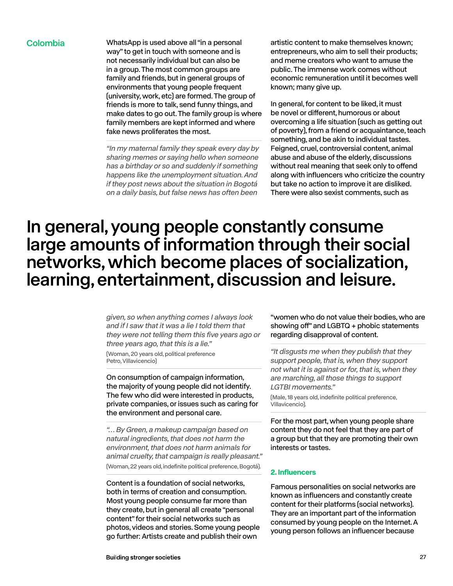Colombia WhatsApp is used above all "in a personal way" to get in touch with someone and is not necessarily individual but can also be in a group. The most common groups are family and friends, but in general groups of environments that young people frequent (university, work, etc) are formed. The group of friends is more to talk, send funny things, and make dates to go out. The family group is where family members are kept informed and where fake news proliferates the most.

> *"In my maternal family they speak every day by sharing memes or saying hello when someone has a birthday or so and suddenly if something happens like the unemployment situation. And if they post news about the situation in Bogotá on a daily basis, but false news has often been*

artistic content to make themselves known; entrepreneurs, who aim to sell their products; and meme creators who want to amuse the public. The immense work comes without economic remuneration until it becomes well known; many give up.

In general, for content to be liked, it must be novel or different, humorous or about overcoming a life situation (such as getting out of poverty), from a friend or acquaintance, teach something, and be akin to individual tastes. Feigned, cruel, controversial content, animal abuse and abuse of the elderly, discussions without real meaning that seek only to offend along with influencers who criticize the country but take no action to improve it are disliked. There were also sexist comments, such as

## In general, young people constantly consume large amounts of information through their social networks, which become places of socialization, learning, entertainment, discussion and leisure.

*given, so when anything comes I always look and if I saw that it was a lie I told them that they were not telling them this five years ago or three years ago, that this is a lie."* 

(Woman, 20 years old, political preference Petro, Villavicencio)

On consumption of campaign information, the majority of young people did not identify. The few who did were interested in products, private companies, or issues such as caring for the environment and personal care.

*"… By Green, a makeup campaign based on natural ingredients, that does not harm the environment, that does not harm animals for animal cruelty, that campaign is really pleasant."*  (Woman, 22 years old, indefinite political preference, Bogotá).

Content is a foundation of social networks, both in terms of creation and consumption. Most young people consume far more than they create, but in general all create "personal content" for their social networks such as photos, videos and stories. Some young people go further: Artists create and publish their own

"women who do not value their bodies, who are showing off" and LGBTQ + phobic statements regarding disapproval of content.

*"It disgusts me when they publish that they support people, that is, when they support not what it is against or for, that is, when they are marching, all those things to support LGTBI movements."* 

(Male, 18 years old, indefinite political preference, Villavicencio).

For the most part, when young people share content they do not feel that they are part of a group but that they are promoting their own interests or tastes.

### **2. Influencers**

Famous personalities on social networks are known as influencers and constantly create content for their platforms (social networks). They are an important part of the information consumed by young people on the Internet. A young person follows an influencer because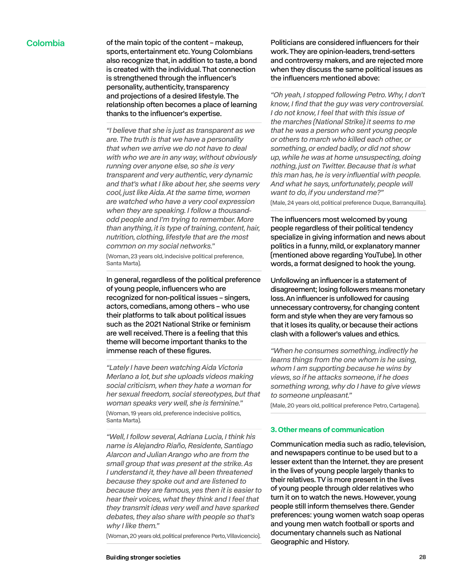Colombia of the main topic of the content – makeup, sports, entertainment etc. Young Colombians also recognize that, in addition to taste, a bond is created with the individual. That connection is strengthened through the influencer's personality, authenticity, transparency and projections of a desired lifestyle. The relationship often becomes a place of learning thanks to the influencer's expertise.

> *"I believe that she is just as transparent as we are. The truth is that we have a personality that when we arrive we do not have to deal with who we are in any way, without obviously running over anyone else, so she is very transparent and very authentic, very dynamic and that's what I like about her, she seems very cool, just like Aida. At the same time, women are watched who have a very cool expression when they are speaking. I follow a thousandodd people and I'm trying to remember. More than anything, it is type of training, content, hair, nutrition, clothing, lifestyle that are the most common on my social networks."*

(Woman, 23 years old, indecisive political preference, Santa Marta).

In general, regardless of the political preference of young people, influencers who are recognized for non-political issues – singers, actors, comedians, among others – who use their platforms to talk about political issues such as the 2021 National Strike or feminism are well received. There is a feeling that this theme will become important thanks to the immense reach of these figures.

*"Lately I have been watching Aida Victoria Merlano a lot, but she uploads videos making social criticism, when they hate a woman for her sexual freedom, social stereotypes, but that woman speaks very well, she is feminine."*  (Woman, 19 years old, preference indecisive politics, Santa Marta).

*"Well, I follow several, Adriana Lucia, I think his name is Alejandro Riaño, Residente, Santiago Alarcon and Julian Arango who are from the small group that was present at the strike. As I understand it, they have all been threatened because they spoke out and are listened to because they are famous, yes then it is easier to hear their voices, what they think and I feel that they transmit ideas very well and have sparked debates, they also share with people so that's why I like them."* 

(Woman, 20 years old, political preference Perto, Villavicencio).

Politicians are considered influencers for their work. They are opinion-leaders, trend-setters and controversy makers, and are rejected more when they discuss the same political issues as the influencers mentioned above:

*"Oh yeah, I stopped following Petro. Why, I don't know, I find that the guy was very controversial. I do not know, I feel that with this issue of the marches (National Strike) it seems to me that he was a person who sent young people or others to march who killed each other, or something, or ended badly, or did not show up, while he was at home unsuspecting, doing nothing, just on Twitter. Because that is what this man has, he is very influential with people. And what he says, unfortunately, people will want to do, if you understand me?"*  (Male, 24 years old, political preference Duque, Barranquilla).

The influencers most welcomed by young people regardless of their political tendency specialize in giving information and news about politics in a funny, mild, or explanatory manner (mentioned above regarding YouTube). In other words, a format designed to hook the young.

Unfollowing an influencer is a statement of disagreement; losing followers means monetary loss. An influencer is unfollowed for causing unnecessary controversy, for changing content form and style when they are very famous so that it loses its quality, or because their actions clash with a follower's values and ethics.

*"When he consumes something, indirectly he learns things from the one whom is he using, whom I am supporting because he wins by views, so if he attacks someone, if he does something wrong, why do I have to give views to someone unpleasant."* 

(Male, 20 years old, political preference Petro, Cartagena).

#### **3. Other means of communication**

Communication media such as radio, television, and newspapers continue to be used but to a lesser extent than the Internet. they are present in the lives of young people largely thanks to their relatives. TV is more present in the lives of young people through older relatives who turn it on to watch the news. However, young people still inform themselves there. Gender preferences: young women watch soap operas and young men watch football or sports and documentary channels such as National Geographic and History.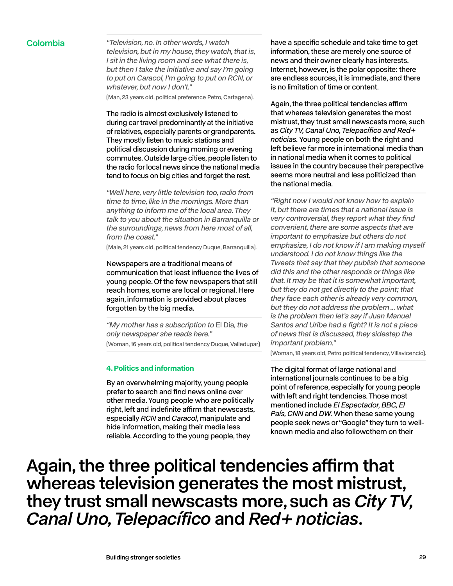Colombia *"Television, no. In other words, I watch television, but in my house, they watch, that is, I sit in the living room and see what there is, but then I take the initiative and say I'm going to put on Caracol, I'm going to put on RCN, or whatever, but now I don't."* 

(Man, 23 years old, political preference Petro, Cartagena).

The radio is almost exclusively listened to during car travel predominantly at the initiative of relatives, especially parents or grandparents. They mostly listen to music stations and political discussion during morning or evening commutes. Outside large cities, people listen to the radio for local news since the national media tend to focus on big cities and forget the rest.

*"Well here, very little television too, radio from time to time, like in the mornings. More than anything to inform me of the local area. They talk to you about the situation in Barranquilla or the surroundings, news from here most of all, from the coast."* 

(Male, 21 years old, political tendency Duque, Barranquilla).

Newspapers are a traditional means of communication that least influence the lives of young people. Of the few newspapers that still reach homes, some are local or regional. Here again, information is provided about places forgotten by the big media.

*"My mother has a subscription to* El Día*, the only newspaper she reads here."*  (Woman, 16 years old, political tendency Duque, Valledupar)

#### **4. Politics and information**

By an overwhelming majority, young people prefer to search and find news online over other media. Young people who are politically right, left and indefinite affirm that newscasts, especially *RCN* and *Caracol*, manipulate and hide information, making their media less reliable. According to the young people, they

have a specific schedule and take time to get information, these are merely one source of news and their owner clearly has interests. Internet, however, is the polar opposite: there are endless sources, it is immediate, and there is no limitation of time or content.

Again, the three political tendencies affirm that whereas television generates the most mistrust, they trust small newscasts more, such as *City TV, Canal Uno, Telepacífico and Red+ noticias.* Young people on both the right and left believe far more in international media than in national media when it comes to political issues in the country because their perspective seems more neutral and less politicized than the national media.

*"Right now I would not know how to explain it, but there are times that a national issue is very controversial, they report what they find convenient, there are some aspects that are important to emphasize but others do not emphasize, I do not know if I am making myself understood. I do not know things like the Tweets that say that they publish that someone did this and the other responds or things like that. It may be that it is somewhat important, but they do not get directly to the point; that they face each other is already very common, but they do not address the problem ... what is the problem then let's say if Juan Manuel Santos and Uribe had a fight? It is not a piece of news that is discussed, they sidestep the important problem."* 

(Woman, 18 years old, Petro political tendency, Villavicencio).

The digital format of large national and international journals continues to be a big point of reference, especially for young people with left and right tendencies. Those most mentioned include *El Espectador, BBC, El País, CNN* and *DW*. When these same young people seek news or "Google" they turn to wellknown media and also followcthem on their

Again, the three political tendencies affirm that whereas television generates the most mistrust, they trust small newscasts more, such as *City TV, Canal Uno, Telepacífico* and *Red+ noticias*.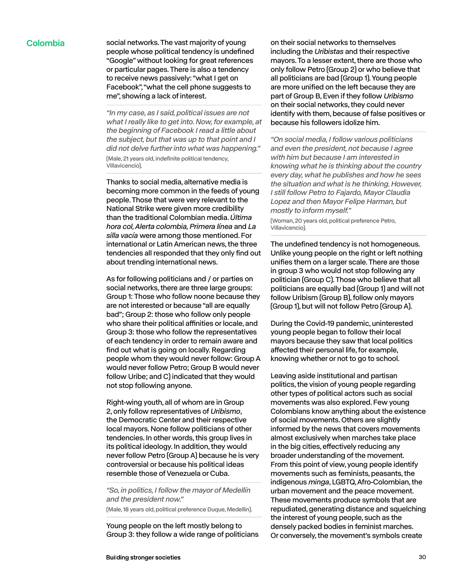Colombia social networks. The vast majority of young people whose political tendency is undefined "Google" without looking for great references or particular pages. There is also a tendency to receive news passively: "what I get on Facebook", "what the cell phone suggests to me", showing a lack of interest.

> *"In my case, as I said, political issues are not what I really like to get into. Now, for example, at the beginning of Facebook I read a little about the subject, but that was up to that point and I did not delve further into what was happening."*  (Male, 21 years old, indefinite political tendency, Villavicencio).

> Thanks to social media, alternative media is becoming more common in the feeds of young people. Those that were very relevant to the National Strike were given more credibility than the traditional Colombian media. *Última hora col, Alerta colombia, Primera línea* and *La silla vacía* were among those mentioned. For international or Latin American news, the three tendencies all responded that they only find out about trending international news.

> As for following politicians and / or parties on social networks, there are three large groups: Group 1: Those who follow noone because they are not interested or because "all are equally bad"; Group 2: those who follow only people who share their political affinities or locale, and Group 3: those who follow the representatives of each tendency in order to remain aware and find out what is going on locally. Regarding people whom they would never follow: Group A would never follow Petro; Group B would never follow Uribe; and C) indicated that they would not stop following anyone.

> Right-wing youth, all of whom are in Group 2, only follow representatives of *Uribismo*, the Democratic Center and their respective local mayors. None follow politicians of other tendencies. In other words, this group lives in its political ideology. In addition, they would never follow Petro (Group A) because he is very controversial or because his political ideas resemble those of Venezuela or Cuba.

*"So, in politics, I follow the mayor of Medellín and the president now."* 

(Male, 18 years old, political preference Duque, Medellin).

Young people on the left mostly belong to Group 3: they follow a wide range of politicians on their social networks to themselves including the *Uribistas* and their respective mayors. To a lesser extent, there are those who only follow Petro (Group 2) or who believe that all politicians are bad (Group 1). Young people are more unified on the left because they are part of Group B, Even if they follow *Uribismo* on their social networks, they could never identify with them, because of false positives or because his followers idolize him.

*"On social media, I follow various politicians and even the president, not because I agree with him but because I am interested in knowing what he is thinking about the country every day, what he publishes and how he sees the situation and what is he thinking. However, I still follow Petro to Fajardo, Mayor Claudia Lopez and then Mayor Felipe Harman, but mostly to inform myself."* 

(Woman, 20 years old, political preference Petro, Villavicencio).

The undefined tendency is not homogeneous. Unlike young people on the right or left nothing unifies them on a larger scale. There are those in group 3 who would not stop following any politician (Group C). Those who believe that all politicians are equally bad (Group 1) and will not follow Uribism (Group B), follow only mayors (Group 1), but will not follow Petro (Group A).

During the Covid-19 pandemic, uninterested young people began to follow their local mayors because they saw that local politics affected their personal life, for example, knowing whether or not to go to school.

Leaving aside institutional and partisan politics, the vision of young people regarding other types of political actors such as social movements was also explored. Few young Colombians know anything about the existence of social movements. Others are slightly informed by the news that covers movements almost exclusively when marches take place in the big cities, effectively reducing any broader understanding of the movement. From this point of view, young people identify movements such as feminists, peasants, the indigenous *minga*, LGBTQ, Afro-Colombian, the urban movement and the peace movement. These movements produce symbols that are repudiated, generating distance and squelching the interest of young people, such as the densely packed bodies in feminist marches. Or conversely, the movement's symbols create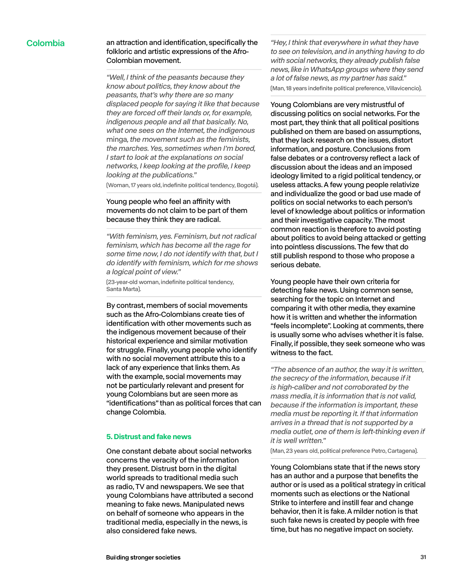### Colombia an attraction and identification, specifically the folkloric and artistic expressions of the Afro-Colombian movement.

*"Well, I think of the peasants because they know about politics, they know about the peasants, that's why there are so many displaced people for saying it like that because*  they are forced off their lands or, for example, *indigenous people and all that basically. No, what one sees on the Internet, the indigenous*  minga*, the movement such as the feminists, the marches. Yes, sometimes when I'm bored, I start to look at the explanations on social networks, I keep looking at the profile, I keep looking at the publications."* 

(Woman, 17 years old, indefinite political tendency, Bogotá).

### Young people who feel an affinity with movements do not claim to be part of them because they think they are radical.

*"With feminism, yes. Feminism, but not radical feminism, which has become all the rage for some time now, I do not identify with that, but I do identify with feminism, which for me shows a logical point of view."* 

(23-year-old woman, indefinite political tendency, Santa Marta).

By contrast, members of social movements such as the Afro-Colombians create ties of identification with other movements such as the indigenous movement because of their historical experience and similar motivation for struggle. Finally, young people who identify with no social movement attribute this to a lack of any experience that links them. As with the example, social movements may not be particularly relevant and present for young Colombians but are seen more as "identifications" than as political forces that can change Colombia.

#### **5. Distrust and fake news**

One constant debate about social networks concerns the veracity of the information they present. Distrust born in the digital world spreads to traditional media such as radio, TV and newspapers. We see that young Colombians have attributed a second meaning to fake news. Manipulated news on behalf of someone who appears in the traditional media, especially in the news, is also considered fake news.

*"Hey, I think that everywhere in what they have to see on television, and in anything having to do with social networks, they already publish false news, like in WhatsApp groups where they send a lot of false news, as my partner has said."*  (Man, 18 years indefinite political preference, Villavicencio).

Young Colombians are very mistrustful of discussing politics on social networks. For the most part, they think that all political positions published on them are based on assumptions, that they lack research on the issues, distort information, and posture. Conclusions from false debates or a controversy reflect a lack of discussion about the ideas and an imposed ideology limited to a rigid political tendency, or useless attacks. A few young people relativize and individualize the good or bad use made of politics on social networks to each person's level of knowledge about politics or information and their investigative capacity. The most common reaction is therefore to avoid posting about politics to avoid being attacked or getting into pointless discussions. The few that do still publish respond to those who propose a serious debate.

Young people have their own criteria for detecting fake news. Using common sense, searching for the topic on Internet and comparing it with other media, they examine how it is written and whether the information "feels incomplete". Looking at comments, there is usually some who advises whether it is false. Finally, if possible, they seek someone who was witness to the fact.

*"The absence of an author, the way it is written, the secrecy of the information, because if it is high-caliber and not corroborated by the mass media, it is information that is not valid, because if the information is important, these media must be reporting it. If that information arrives in a thread that is not supported by a media outlet, one of them is left-thinking even if it is well written."* 

(Man, 23 years old, political preference Petro, Cartagena).

Young Colombians state that if the news story has an author and a purpose that benefits the author or is used as a political strategy in critical moments such as elections or the National Strike to interfere and instill fear and change behavior, then it is fake. A milder notion is that such fake news is created by people with free time, but has no negative impact on society.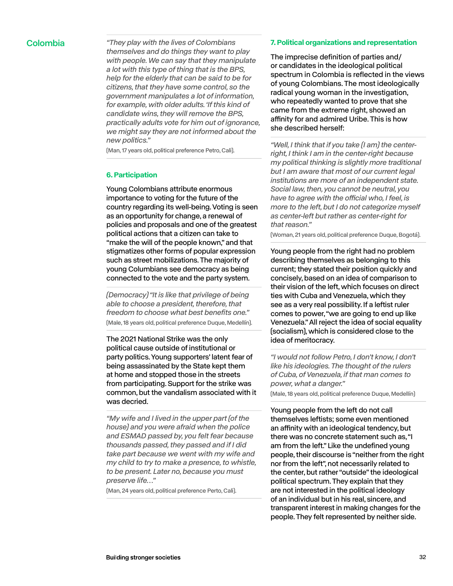Colombia *"They play with the lives of Colombians themselves and do things they want to play with people. We can say that they manipulate a lot with this type of thing that is the BPS, help for the elderly that can be said to be for citizens, that they have some control, so the government manipulates a lot of information, for example, with older adults. 'If this kind of candidate wins, they will remove the BPS, practically adults vote for him out of ignorance, we might say they are not informed about the new politics."* 

(Man, 17 years old, political preference Petro, Cali).

#### **6. Participation**

Young Colombians attribute enormous importance to voting for the future of the country regarding its well-being. Voting is seen as an opportunity for change, a renewal of policies and proposals and one of the greatest political actions that a citizen can take to "make the will of the people known," and that stigmatizes other forms of popular expression such as street mobilizations. The majority of young Columbians see democracy as being connected to the vote and the party system.

*(Democracy) "It is like that privilege of being able to choose a president, therefore, that freedom to choose what best benefits one."*  (Male, 18 years old, political preference Duque, Medellín).

The 2021 National Strike was the only political cause outside of institutional or party politics. Young supporters' latent fear of being assassinated by the State kept them at home and stopped those in the streets from participating. Support for the strike was common, but the vandalism associated with it was decried.

*"My wife and I lived in the upper part (of the house) and you were afraid when the police and ESMAD passed by, you felt fear because thousands passed, they passed and if I did take part because we went with my wife and my child to try to make a presence, to whistle, to be present. Later no, because you must preserve life…"* 

(Man, 24 years old, political preference Perto, Cali).

#### **7. Political organizations and representation**

The imprecise definition of parties and/ or candidates in the ideological political spectrum in Colombia is reflected in the views of young Colombians. The most ideologically radical young woman in the investigation, who repeatedly wanted to prove that she came from the extreme right, showed an affinity for and admired Uribe. This is how she described herself:

*"Well, I think that if you take (I am) the centerright, I think I am in the center-right because my political thinking is slightly more traditional but I am aware that most of our current legal institutions are more of an independent state. Social law, then, you cannot be neutral, you*  have to agree with the official who, I feel, is *more to the left, but I do not categorize myself as center-left but rather as center-right for that reason."* 

(Woman, 21 years old, political preference Duque, Bogotá).

Young people from the right had no problem describing themselves as belonging to this current; they stated their position quickly and concisely, based on an idea of comparison to their vision of the left, which focuses on direct ties with Cuba and Venezuela, which they see as a very real possibility. If a leftist ruler comes to power, "we are going to end up like Venezuela." All reject the idea of social equality (socialism), which is considered close to the idea of meritocracy.

*"I would not follow Petro, I don't know, I don't like his ideologies. The thought of the rulers of Cuba, of Venezuela, if that man comes to power, what a danger."* 

(Male, 18 years old, political preference Duque, Medellín)

Young people from the left do not call themselves leftists; some even mentioned an affinity with an ideological tendency, but there was no concrete statement such as, "I am from the left." Like the undefined young people, their discourse is "neither from the right nor from the left", not necessarily related to the center, but rather "outside" the ideological political spectrum. They explain that they are not interested in the political ideology of an individual but in his real, sincere, and transparent interest in making changes for the people. They felt represented by neither side.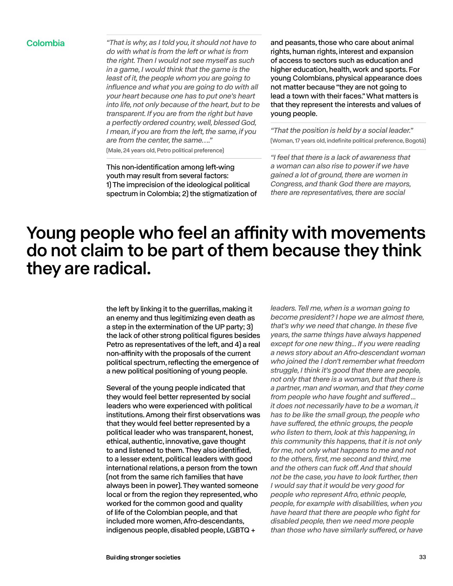Colombia *"That is why, as I told you, it should not have to do with what is from the left or what is from the right. Then I would not see myself as such in a game, I would think that the game is the least of it, the people whom you are going to influence and what you are going to do with all your heart because one has to put one's heart into life, not only because of the heart, but to be transparent. If you are from the right but have a perfectly ordered country, well, blessed God, I mean, if you are from the left, the same, if you are from the center, the same…."*  (Male, 24 years old, Petro political preference)

> This non-identification among left-wing youth may result from several factors: 1) The imprecision of the ideological political spectrum in Colombia; 2) the stigmatization of

and peasants, those who care about animal rights, human rights, interest and expansion of access to sectors such as education and higher education, health, work and sports. For young Colombians, physical appearance does not matter because "they are not going to lead a town with their faces." What matters is that they represent the interests and values of young people.

*"That the position is held by a social leader."*  (Woman, 17 years old, indefinite political preference, Bogotá)

*"I feel that there is a lack of awareness that a woman can also rise to power if we have gained a lot of ground, there are women in Congress, and thank God there are mayors, there are representatives, there are social* 

## Young people who feel an affinity with movements do not claim to be part of them because they think they are radical.

the left by linking it to the guerrillas, making it an enemy and thus legitimizing even death as a step in the extermination of the UP party; 3) the lack of other strong political figures besides Petro as representatives of the left, and 4) a real non-affinity with the proposals of the current political spectrum, reflecting the emergence of a new political positioning of young people.

Several of the young people indicated that they would feel better represented by social leaders who were experienced with political institutions. Among their first observations was that they would feel better represented by a political leader who was transparent, honest, ethical, authentic, innovative, gave thought to and listened to them. They also identified, to a lesser extent, political leaders with good international relations, a person from the town (not from the same rich families that have always been in power). They wanted someone local or from the region they represented, who worked for the common good and quality of life of the Colombian people, and that included more women, Afro-descendants, indigenous people, disabled people, LGBTQ +

*leaders. Tell me, when is a woman going to become president? I hope we are almost there, that's why we need that change. In these five years, the same things have always happened except for one new thing... If you were reading a news story about an Afro-descendant woman who joined the I don't remember what freedom struggle, I think it's good that there are people, not only that there is a woman, but that there is a partner, man and woman, and that they come*  from people who have fought and suffered ... *it does not necessarily have to be a woman, it has to be like the small group, the people who*  have suffered, the ethnic groups, the people *who listen to them, look at this happening, in this community this happens, that it is not only for me, not only what happens to me and not to the others, first, me second and third, me*  and the others can fuck off. And that should *not be the case, you have to look further, then I would say that it would be very good for people who represent Afro, ethnic people, people, for example with disabilities, when you have heard that there are people who fight for disabled people, then we need more people*  than those who have similarly suffered, or have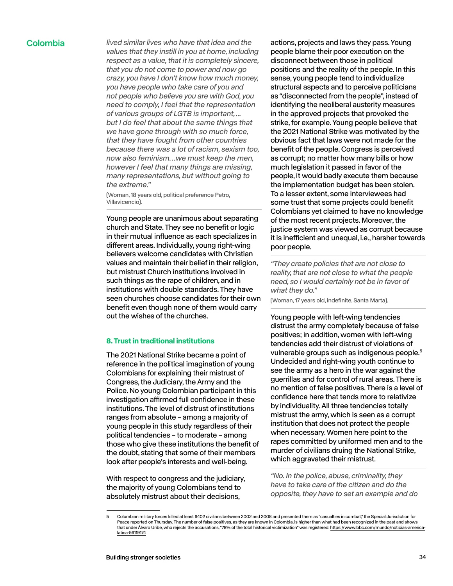Colombia *lived similar lives who have that idea and the values that they instill in you at home, including respect as a value, that it is completely sincere, that you do not come to power and now go crazy, you have I don't know how much money, you have people who take care of you and not people who believe you are with God, you need to comply, I feel that the representation of various groups of LGTB is important, ... but I do feel that about the same things that we have gone through with so much force, that they have fought from other countries because there was a lot of racism, sexism too, now also feminism…we must keep the men, however I feel that many things are missing, many representations, but without going to the extreme."* 

> (Woman, 18 years old, political preference Petro, Villavicencio).

Young people are unanimous about separating church and State. They see no benefit or logic in their mutual influence as each specializes in different areas. Individually, young right-wing believers welcome candidates with Christian values and maintain their belief in their religion, but mistrust Church institutions involved in such things as the rape of children, and in institutions with double standards. They have seen churches choose candidates for their own benefit even though none of them would carry out the wishes of the churches.

#### **8. Trust in traditional institutions**

The 2021 National Strike became a point of reference in the political imagination of young Colombians for explaining their mistrust of Congress, the Judiciary, the Army and the Police. No young Colombian participant in this investigation affirmed full confidence in these institutions. The level of distrust of institutions ranges from absolute – among a majority of young people in this study regardless of their political tendencies – to moderate – among those who give these institutions the benefit of the doubt, stating that some of their members look after people's interests and well-being.

With respect to congress and the judiciary, the majority of young Colombians tend to absolutely mistrust about their decisions,

actions, projects and laws they pass. Young people blame their poor execution on the disconnect between those in political positions and the reality of the people. In this sense, young people tend to individualize structural aspects and to perceive politicians as "disconnected from the people", instead of identifying the neoliberal austerity measures in the approved projects that provoked the strike, for example. Young people believe that the 2021 National Strike was motivated by the obvious fact that laws were not made for the benefit of the people. Congress is perceived as corrupt; no matter how many bills or how much legislation it passed in favor of the people, it would badly execute them because the implementation budget has been stolen. To a lesser extent, some interviewees had some trust that some projects could benefit Colombians yet claimed to have no knowledge of the most recent projects. Moreover, the justice system was viewed as corrupt because it is inefficient and unequal, i.e., harsher towards poor people.

*"They create policies that are not close to reality, that are not close to what the people need, so I would certainly not be in favor of what they do."* 

(Woman, 17 years old, indefinite, Santa Marta).

Young people with left-wing tendencies distrust the army completely because of false positives; in addition, women with left-wing tendencies add their distrust of violations of vulnerable groups such as indigenous people.<sup>5</sup> Undecided and right-wing youth continue to see the army as a hero in the war against the guerrillas and for control of rural areas. There is no mention of false positives. There is a level of confidence here that tends more to relativize by individuality. All three tendencies totally mistrust the army, which is seen as a corrupt institution that does not protect the people when necessary. Women here point to the rapes committed by uniformed men and to the murder of civilians druing the National Strike, which aggravated their mistrust.

*"No. In the police, abuse, criminality, they have to take care of the citizen and do the opposite, they have to set an example and do* 

<sup>5</sup> Colombian military forces killed at least 6402 civilians between 2002 and 2008 and presented them as "casualties in combat," the Special Jurisdiction for Peace reported on Thursday. The number of false positives, as they are known in Colombia, is higher than what had been recognized in the past and shows that under Álvaro Uribe, who rejects the accusations, "78% of the total historical victimization" was registered. [https://www.bbc.com/mundo/noticias-america](https://www.bbc.com/mundo/noticias-america-latina-56119174)[latina-56119174](https://www.bbc.com/mundo/noticias-america-latina-56119174)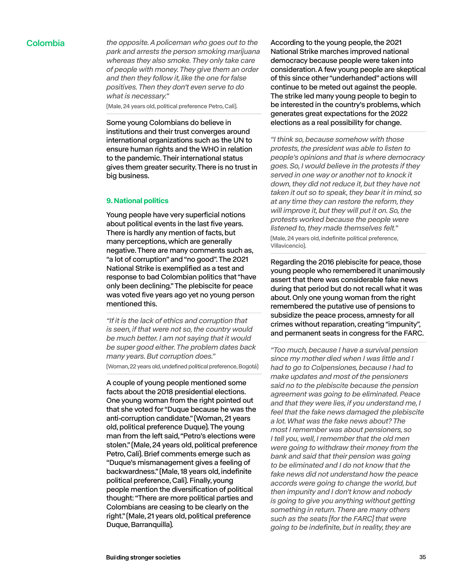Colombia *the opposite. A policeman who goes out to the park and arrests the person smoking marijuana whereas they also smoke. They only take care of people with money. They give them an order and then they follow it, like the one for false positives. Then they don't even serve to do what is necessary."* 

(Male, 24 years old, political preference Petro, Cali).

Some young Colombians do believe in institutions and their trust converges around international organizations such as the UN to ensure human rights and the WHO in relation to the pandemic. Their international status gives them greater security. There is no trust in big business.

#### **9. National politics**

Young people have very superficial notions about political events in the last five years. There is hardly any mention of facts, but many perceptions, which are generally negative. There are many comments such as, "a lot of corruption" and "no good". The 2021 National Strike is exemplified as a test and response to bad Colombian politics that "have only been declining." The plebiscite for peace was voted five years ago yet no young person mentioned this.

*"If it is the lack of ethics and corruption that is seen, if that were not so, the country would be much better. I am not saying that it would be super good either. The problem dates back many years. But corruption does."* 

(Woman, 22 years old, undefined political preference, Bogotá)

A couple of young people mentioned some facts about the 2018 presidential elections. One young woman from the right pointed out that she voted for "Duque because he was the anti-corruption candidate." (Woman, 21 years old, political preference Duque). The young man from the left said, "Petro's elections were stolen." (Male, 24 years old, political preference Petro, Cali). Brief comments emerge such as "Duque's mismanagement gives a feeling of backwardness." (Male, 18 years old, indefinite political preference, Cali). Finally, young people mention the diversification of political thought: "There are more political parties and Colombians are ceasing to be clearly on the right." (Male, 21 years old, political preference Duque, Barranquilla).

According to the young people, the 2021 National Strike marches improved national democracy because people were taken into consideration. A few young people are skeptical of this since other "underhanded" actions will continue to be meted out against the people. The strike led many young people to begin to be interested in the country's problems, which generates great expectations for the 2022 elections as a real possibility for change.

*"I think so, because somehow with those protests, the president was able to listen to people's opinions and that is where democracy goes. So, I would believe in the protests if they served in one way or another not to knock it down, they did not reduce it, but they have not taken it out so to speak, they bear it in mind, so at any time they can restore the reform, they will improve it, but they will put it on. So, the protests worked because the people were listened to, they made themselves felt."* 

(Male, 24 years old, indefinite political preference, Villavicencio).

Regarding the 2016 plebiscite for peace, those young people who remembered it unanimously assert that there was considerable fake news during that period but do not recall what it was about. Only one young woman from the right remembered the putative use of pensions to subsidize the peace process, amnesty for all crimes without reparation, creating "impunity", and permanent seats in congress for the FARC.

*"Too much, because I have a survival pension since my mother died when I was little and I had to go to Colpensiones, because I had to make updates and most of the pensioners said no to the plebiscite because the pension agreement was going to be eliminated. Peace and that they were lies, if you understand me, I feel that the fake news damaged the plebiscite a lot. What was the fake news about? The most I remember was about pensioners, so I tell you, well, I remember that the old men were going to withdraw their money from the bank and said that their pension was going to be eliminated and I do not know that the fake news did not understand how the peace accords were going to change the world, but then impunity and I don't know and nobody is going to give you anything without getting something in return. There are many others such as the seats [for the FARC] that were going to be indefinite, but in reality, they are*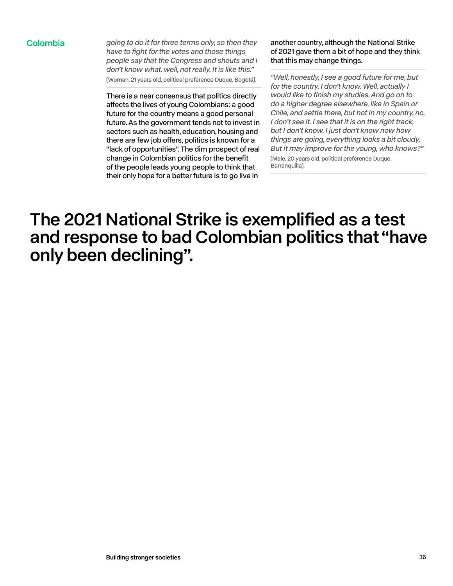Colombia *going to do it for three terms only, so then they have to fight for the votes and those things people say that the Congress and shouts and I don't know what, well, not really. It is like this."*  (Woman, 21 years old, political preference Duque, Bogotá).

> There is a near consensus that politics directly affects the lives of young Colombians: a good future for the country means a good personal future. As the government tends not to invest in sectors such as health, education, housing and there are few job offers, politics is known for a "lack of opportunities". The dim prospect of real change in Colombian politics for the benefit of the people leads young people to think that their only hope for a better future is to go live in

another country, although the National Strike of 2021 gave them a bit of hope and they think that this may change things.

*"Well, honestly, I see a good future for me, but for the country, I don't know. Well, actually I would like to finish my studies. And go on to do a higher degree elsewhere, like in Spain or Chile, and settle there, but not in my country, no, I don't see it. I see that it is on the right track, but I don't know. I just don't know now how things are going, everything looks a bit cloudy. But it may improve for the young, who knows?"* (Male, 20 years old, political preference Duque, Barranquilla).

## The 2021 National Strike is exemplified as a test and response to bad Colombian politics that "have only been declining".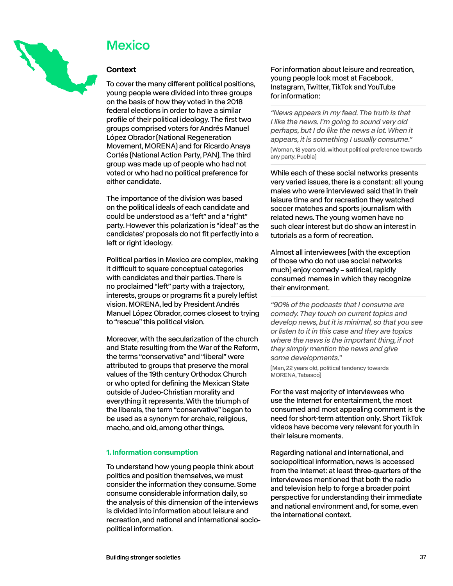<span id="page-36-0"></span>

## **Mexico**

### **Context**

To cover the many different political positions, young people were divided into three groups on the basis of how they voted in the 2018 federal elections in order to have a similar profile of their political ideology. The first two groups comprised voters for Andrés Manuel López Obrador (National Regeneration Movement, MORENA) and for Ricardo Anaya Cortés (National Action Party, PAN). The third group was made up of people who had not voted or who had no political preference for either candidate.

The importance of the division was based on the political ideals of each candidate and could be understood as a "left" and a "right" party. However this polarization is "ideal" as the candidates' proposals do not fit perfectly into a left or right ideology.

Political parties in Mexico are complex, making it difficult to square conceptual categories with candidates and their parties. There is no proclaimed "left" party with a trajectory, interests, groups or programs fit a purely leftist vision. MORENA, led by President Andrés Manuel López Obrador, comes closest to trying to "rescue" this political vision.

Moreover, with the secularization of the church and State resulting from the War of the Reform, the terms "conservative" and "liberal" were attributed to groups that preserve the moral values of the 19th century Orthodox Church or who opted for defining the Mexican State outside of Judeo-Christian morality and everything it represents. With the triumph of the liberals, the term "conservative" began to be used as a synonym for archaic, religious, macho, and old, among other things.

### **1. Information consumption**

To understand how young people think about politics and position themselves, we must consider the information they consume. Some consume considerable information daily, so the analysis of this dimension of the interviews is divided into information about leisure and recreation, and national and international sociopolitical information.

For information about leisure and recreation, young people look most at Facebook, Instagram, Twitter, TikTok and YouTube for information:

*"News appears in my feed. The truth is that I like the news. I'm going to sound very old perhaps, but I do like the news a lot. When it appears, it is something I usually consume."*  (Woman, 18 years old, without political preference towards any party, Puebla)

While each of these social networks presents very varied issues, there is a constant: all young males who were interviewed said that in their leisure time and for recreation they watched soccer matches and sports journalism with related news. The young women have no such clear interest but do show an interest in tutorials as a form of recreation.

Almost all interviewees (with the exception of those who do not use social networks much) enjoy comedy – satirical, rapidly consumed memes in which they recognize their environment.

*"90% of the podcasts that I consume are comedy. They touch on current topics and develop news, but it is minimal, so that you see or listen to it in this case and they are topics where the news is the important thing, if not they simply mention the news and give some developments."* 

(Man, 22 years old, political tendency towards MORENA, Tabasco)

For the vast majority of interviewees who use the Internet for entertainment, the most consumed and most appealing comment is the need for short-term attention only. Short TikTok videos have become very relevant for youth in their leisure moments.

Regarding national and international, and sociopolitical information, news is accessed from the Internet: at least three-quarters of the interviewees mentioned that both the radio and television help to forge a broader point perspective for understanding their immediate and national environment and, for some, even the international context.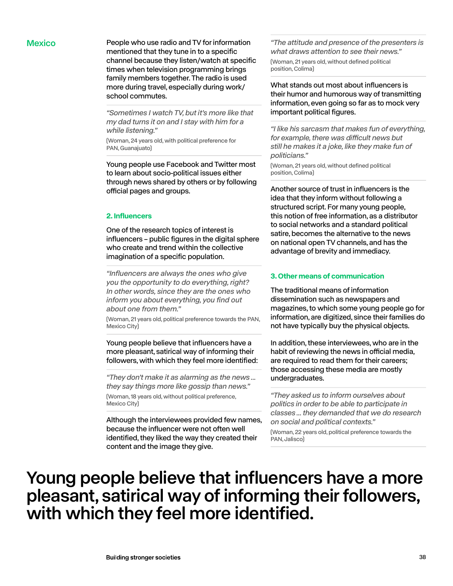Mexico **People who use radio and TV for information** mentioned that they tune in to a specific channel because they listen/watch at specific times when television programming brings family members together. The radio is used more during travel, especially during work/ school commutes.

> *"Sometimes I watch TV, but it's more like that my dad turns it on and I stay with him for a while listening."*

(Woman, 24 years old, with political preference for PAN, Guanajuato)

Young people use Facebook and Twitter most to learn about socio-political issues either through news shared by others or by following official pages and groups.

#### **2. Influencers**

One of the research topics of interest is influencers – public figures in the digital sphere who create and trend within the collective imagination of a specific population.

*"Influencers are always the ones who give you the opportunity to do everything, right? In other words, since they are the ones who inform you about everything, you find out about one from them."* 

(Woman, 21 years old, political preference towards the PAN, Mexico City)

Young people believe that influencers have a more pleasant, satirical way of informing their followers, with which they feel more identified:

*"They don't make it as alarming as the news ... they say things more like gossip than news."*  (Woman, 18 years old, without political preference, Mexico City)

Although the interviewees provided few names, because the influencer were not often well identified, they liked the way they created their content and the image they give.

*"The attitude and presence of the presenters is what draws attention to see their news."*  (Woman, 21 years old, without defined political position, Colima)

What stands out most about influencers is their humor and humorous way of transmitting information, even going so far as to mock very important political figures.

*"I like his sarcasm that makes fun of everything,*  for example, there was difficult news but *still he makes it a joke, like they make fun of politicians."* 

(Woman, 21 years old, without defined political position, Colima)

Another source of trust in influencers is the idea that they inform without following a structured script. For many young people, this notion of free information, as a distributor to social networks and a standard political satire, becomes the alternative to the news on national open TV channels, and has the advantage of brevity and immediacy.

### **3. Other means of communication**

The traditional means of information dissemination such as newspapers and magazines, to which some young people go for information, are digitized, since their families do not have typically buy the physical objects.

In addition, these interviewees, who are in the habit of reviewing the news in official media, are required to read them for their careers; those accessing these media are mostly undergraduates.

*"They asked us to inform ourselves about politics in order to be able to participate in classes ... they demanded that we do research on social and political contexts."* 

(Woman, 22 years old, political preference towards the PAN, Jalisco)

## Young people believe that influencers have a more pleasant, satirical way of informing their followers, with which they feel more identified.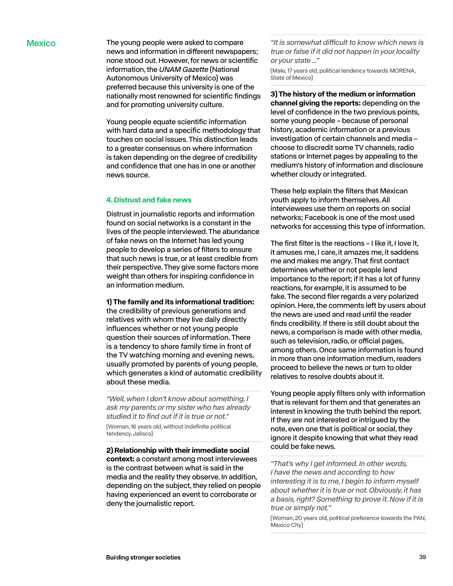Mexico The young people were asked to compare news and information in different newspapers; none stood out. However, for news or scientific information, the *UNAM Gazette* (National Autonomous University of Mexico) was preferred because this university is one of the nationally most renowned for scientific findings and for promoting university culture.

> Young people equate scientific information with hard data and a specific methodology that touches on social issues. This distinction leads to a greater consensus on where information is taken depending on the degree of credibility and confidence that one has in one or another news source.

#### **4. Distrust and fake news**

Distrust in journalistic reports and information found on social networks is a constant in the lives of the people interviewed. The abundance of fake news on the Internet has led young people to develop a series of filters to ensure that such news is true, or at least credible from their perspective. They give some factors more weight than others for inspiring confidence in an information medium.

**1) The family and its informational tradition:** 

the credibility of previous generations and relatives with whom they live daily directly influences whether or not young people question their sources of information. There is a tendency to share family time in front of the TV watching morning and evening news, usually promoted by parents of young people, which generates a kind of automatic credibility about these media.

*"Well, when I don't know about something, I ask my parents or my sister who has already studied it to find out if it is true or not."* 

(Woman, 16 years old, without indefinite political tendency, Jalisco)

**2) Relationship with their immediate social context:** a constant among most interviewees is the contrast between what is said in the media and the reality they observe. In addition, depending on the subject, they relied on people having experienced an event to corroborate or deny the journalistic report.

"It is somewhat difficult to know which news is *true or false if it did not happen in your locality or your state ..."* 

(Male, 17 years old, political tendency towards MORENA, State of Mexico)

**3) The history of the medium or information channel giving the reports:** depending on the level of confidence in the two previous points, some young people – because of personal history, academic information or a previous investigation of certain channels and media – choose to discredit some TV channels, radio stations or Internet pages by appealing to the medium's history of information and disclosure whether cloudy or integrated.

These help explain the filters that Mexican youth apply to inform themselves. All interviewees use them on reports on social networks; Facebook is one of the most used networks for accessing this type of information.

The first filter is the reactions – I like it, I love it, it amuses me, I care, it amazes me, it saddens me and makes me angry. That first contact determines whether or not people lend importance to the report; if it has a lot of funny reactions, for example, it is assumed to be fake. The second filer regards a very polarized opinion. Here, the comments left by users about the news are used and read until the reader finds credibility. If there is still doubt about the news, a comparison is made with other media, such as television, radio, or official pages, among others. Once same information is found in more than one information medium, readers proceed to believe the news or turn to older relatives to resolve doubts about it.

Young people apply filters only with information that is relevant for them and that generates an interest in knowing the truth behind the report. If they are not interested or intrigued by the note, even one that is political or social, they ignore it despite knowing that what they read could be fake news.

*"That's why I get informed. In other words, I have the news and according to how interesting it is to me, I begin to inform myself about whether it is true or not. Obviously, it has a basis, right? Something to prove it. Now if it is true or simply not."* 

(Woman, 20 years old, political preference towards the PAN, Mexico City)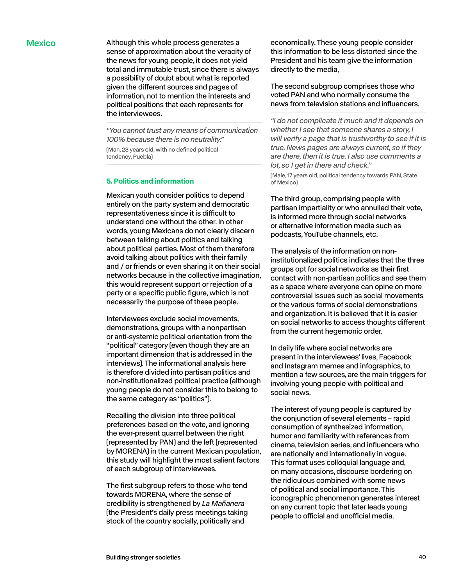Mexico **Although this whole process generates a** sense of approximation about the veracity of the news for young people, it does not yield total and immutable trust, since there is always a possibility of doubt about what is reported given the different sources and pages of information, not to mention the interests and political positions that each represents for the interviewees.

> *"You cannot trust any means of communication 100% because there is no neutrality."*  (Man, 23 years old, with no defined political tendency, Puebla)

### **5. Politics and information**

Mexican youth consider politics to depend entirely on the party system and democratic representativeness since it is difficult to understand one without the other. In other words, young Mexicans do not clearly discern between talking about politics and talking about political parties. Most of them therefore avoid talking about politics with their family and / or friends or even sharing it on their social networks because in the collective imagination, this would represent support or rejection of a party or a specific public figure, which is not necessarily the purpose of these people.

Interviewees exclude social movements, demonstrations, groups with a nonpartisan or anti-systemic political orientation from the "political" category (even though they are an important dimension that is addressed in the interviews). The informational analysis here is therefore divided into partisan politics and non-institutionalized political practice (although young people do not consider this to belong to the same category as "politics").

Recalling the division into three political preferences based on the vote, and ignoring the ever-present quarrel between the right (represented by PAN) and the left (represented by MORENA) in the current Mexican population, this study will highlight the most salient factors of each subgroup of interviewees.

The first subgroup refers to those who tend towards MORENA, where the sense of credibility is strengthened by *La Mañanera* (the President's daily press meetings taking stock of the country socially, politically and

economically. These young people consider this information to be less distorted since the President and his team give the information directly to the media,

The second subgroup comprises those who voted PAN and who normally consume the news from television stations and influencers.

*"I do not complicate it much and it depends on whether I see that someone shares a story, I will verify a page that is trustworthy to see if it is true. News pages are always current, so if they are there, then it is true. I also use comments a lot, so I get in there and check."* 

(Male, 17 years old, political tendency towards PAN, State of Mexico)

The third group, comprising people with partisan impartiality or who annulled their vote, is informed more through social networks or alternative information media such as podcasts, YouTube channels, etc.

The analysis of the information on noninstitutionalized politics indicates that the three groups opt for social networks as their first contact with non-partisan politics and see them as a space where everyone can opine on more controversial issues such as social movements or the various forms of social demonstrations and organization. It is believed that it is easier on social networks to access thoughts different from the current hegemonic order.

In daily life where social networks are present in the interviewees' lives, Facebook and Instagram memes and infographics, to mention a few sources, are the main triggers for involving young people with political and social news.

The interest of young people is captured by the conjunction of several elements – rapid consumption of synthesized information, humor and familiarity with references from cinema, television series, and influencers who are nationally and internationally in vogue. This format uses colloquial language and, on many occasions, discourse bordering on the ridiculous combined with some news of political and social importance. This iconographic phenomenon generates interest on any current topic that later leads young people to official and unofficial media.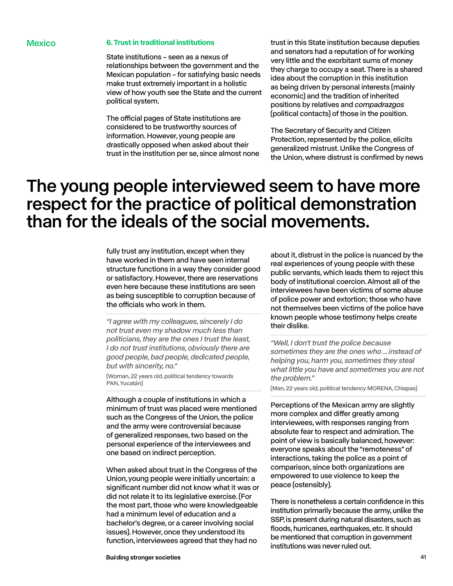#### Mexico **6. Trust in traditional institutions**

State institutions – seen as a nexus of relationships between the government and the Mexican population – for satisfying basic needs make trust extremely important in a holistic view of how youth see the State and the current political system.

The official pages of State institutions are considered to be trustworthy sources of information. However, young people are drastically opposed when asked about their trust in the institution per se, since almost none trust in this State institution because deputies and senators had a reputation of for working very little and the exorbitant sums of money they charge to occupy a seat. There is a shared idea about the corruption in this institution as being driven by personal interests (mainly economic) and the tradition of inherited positions by relatives and *compadrazgos* (political contacts) of those in the position.

The Secretary of Security and Citizen Protection, represented by the police, elicits generalized mistrust. Unlike the Congress of the Union, where distrust is confirmed by news

## The young people interviewed seem to have more respect for the practice of political demonstration than for the ideals of the social movements.

fully trust any institution, except when they have worked in them and have seen internal structure functions in a way they consider good or satisfactory. However, there are reservations even here because these institutions are seen as being susceptible to corruption because of the officials who work in them.

*"I agree with my colleagues, sincerely I do not trust even my shadow much less than politicians, they are the ones I trust the least, I do not trust institutions, obviously there are good people, bad people, dedicated people, but with sincerity, no."* 

(Woman, 22 years old, political tendency towards PAN, Yucatán)

Although a couple of institutions in which a minimum of trust was placed were mentioned such as the Congress of the Union, the police and the army were controversial because of generalized responses, two based on the personal experience of the interviewees and one based on indirect perception.

When asked about trust in the Congress of the Union, young people were initially uncertain: a significant number did not know what it was or did not relate it to its legislative exercise. (For the most part, those who were knowledgeable had a minimum level of education and a bachelor's degree, or a career involving social issues). However, once they understood its function, interviewees agreed that they had no

about it, distrust in the police is nuanced by the real experiences of young people with these public servants, which leads them to reject this body of institutional coercion. Almost all of the interviewees have been victims of some abuse of police power and extortion; those who have not themselves been victims of the police have known people whose testimony helps create their dislike.

*"Well, I don't trust the police because sometimes they are the ones who ... instead of helping you, harm you, sometimes they steal what little you have and sometimes you are not the problem."* 

(Man, 22 years old, political tendency MORENA, Chiapas)

Perceptions of the Mexican army are slightly more complex and differ greatly among interviewees, with responses ranging from absolute fear to respect and admiration. The point of view is basically balanced, however: everyone speaks about the "remoteness" of interactions, taking the police as a point of comparison, since both organizations are empowered to use violence to keep the peace (ostensibly).

There is nonetheless a certain confidence in this institution primarily because the army, unlike the SSP, is present during natural disasters, such as floods, hurricanes, earthquakes, etc. It should be mentioned that corruption in government institutions was never ruled out.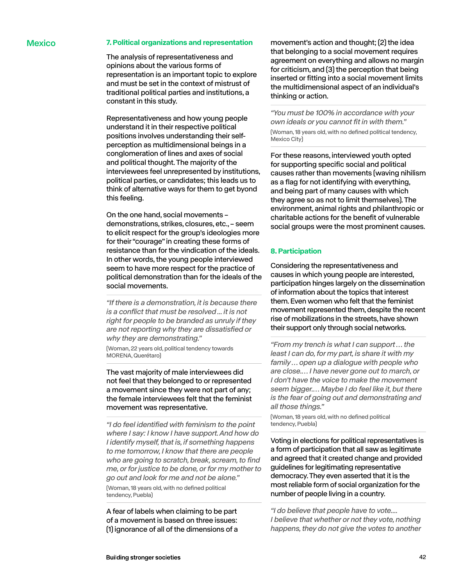#### Mexico **7. Political organizations and representation**

The analysis of representativeness and opinions about the various forms of representation is an important topic to explore and must be set in the context of mistrust of traditional political parties and institutions, a constant in this study.

Representativeness and how young people understand it in their respective political positions involves understanding their selfperception as multidimensional beings in a conglomeration of lines and axes of social and political thought. The majority of the interviewees feel unrepresented by institutions, political parties, or candidates; this leads us to think of alternative ways for them to get byond this feeling.

On the one hand, social movements – demonstrations, strikes, closures, etc., – seem to elicit respect for the group's ideologies more for their "courage" in creating these forms of resistance than for the vindication of the ideals. In other words, the young people interviewed seem to have more respect for the practice of political demonstration than for the ideals of the social movements.

*"If there is a demonstration, it is because there is a conflict that must be resolved ... it is not right for people to be branded as unruly if they are not reporting why they are dissatisfied or why they are demonstrating."* 

(Woman, 22 years old, political tendency towards MORENA, Querétaro)

The vast majority of male interviewees did not feel that they belonged to or represented a movement since they were not part of any; the female interviewees felt that the feminist movement was representative.

*"I do feel identified with feminism to the point where I say: I know I have support. And how do I identify myself, that is, if something happens to me tomorrow, I know that there are people who are going to scratch, break, scream, to find me, or for justice to be done, or for my mother to go out and look for me and not be alone."*  (Woman, 18 years old, with no defined political tendency, Puebla)

A fear of labels when claiming to be part of a movement is based on three issues: (1) ignorance of all of the dimensions of a movement's action and thought; (2) the idea that belonging to a social movement requires agreement on everything and allows no margin for criticism, and (3) the perception that being inserted or fitting into a social movement limits the multidimensional aspect of an individual's thinking or action.

*"You must be 100% in accordance with your own ideals or you cannot fit in with them."*  (Woman, 18 years old, with no defined political tendency, Mexico City)

For these reasons, interviewed youth opted for supporting specific social and political causes rather than movements (waving nihilism as a flag for not identifying with everything, and being part of many causes with which they agree so as not to limit themselves). The environment, animal rights and philanthropic or charitable actions for the benefit of vulnerable social groups were the most prominent causes.

#### **8. Participation**

Considering the representativeness and causes in which young people are interested, participation hinges largely on the dissemination of information about the topics that interest them. Even women who felt that the feminist movement represented them, despite the recent rise of mobilizations in the streets, have shown their support only through social networks.

*"From my trench is what I can support … the least I can do, for my part, is share it with my family … open up a dialogue with people who are close.… I have never gone out to march, or I don't have the voice to make the movement seem bigger.… Maybe I do feel like it, but there is the fear of going out and demonstrating and all those things."* 

(Woman, 18 years old, with no defined political tendency, Puebla)

Voting in elections for political representatives is a form of participation that all saw as legitimate and agreed that it created change and provided guidelines for legitimating representative democracy. They even asserted that it is the most reliable form of social organization for the number of people living in a country.

*"I do believe that people have to vote.... I believe that whether or not they vote, nothing happens, they do not give the votes to another*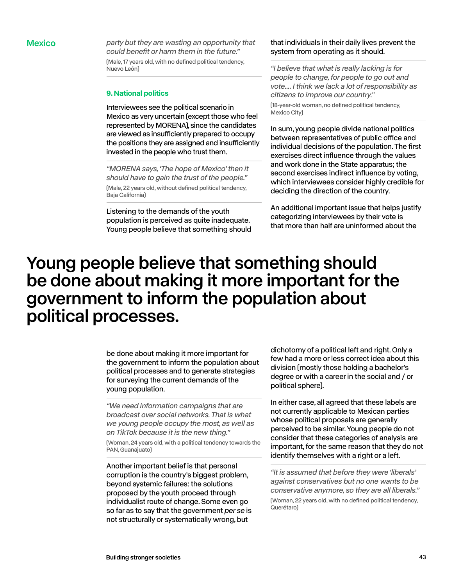Mexico *party but they are wasting an opportunity that could benefit or harm them in the future."*  (Male, 17 years old, with no defined political tendency, Nuevo León)

### **9. National politics**

Interviewees see the political scenario in Mexico as very uncertain (except those who feel represented by MORENA), since the candidates are viewed as insufficiently prepared to occupy the positions they are assigned and insufficiently invested in the people who trust them.

*"MORENA says, 'The hope of Mexico' then it should have to gain the trust of the people."*  (Male, 22 years old, without defined political tendency, Baja California)

Listening to the demands of the youth population is perceived as quite inadequate. Young people believe that something should

#### that individuals in their daily lives prevent the system from operating as it should.

*"I believe that what is really lacking is for people to change, for people to go out and vote.... I think we lack a lot of responsibility as citizens to improve our country."* 

(18-year-old woman, no defined political tendency, Mexico City)

In sum, young people divide national politics between representatives of public office and individual decisions of the population. The first exercises direct influence through the values and work done in the State apparatus; the second exercises indirect influence by voting, which interviewees consider highly credible for deciding the direction of the country.

An additional important issue that helps justify categorizing interviewees by their vote is that more than half are uninformed about the

## Young people believe that something should be done about making it more important for the government to inform the population about political processes.

be done about making it more important for the government to inform the population about political processes and to generate strategies for surveying the current demands of the young population.

*"We need information campaigns that are broadcast over social networks. That is what we young people occupy the most, as well as on TikTok because it is the new thing."* 

(Woman, 24 years old, with a political tendency towards the PAN, Guanajuato)

Another important belief is that personal corruption is the country's biggest problem, beyond systemic failures: the solutions proposed by the youth proceed through individualist route of change. Some even go so far as to say that the government *per se* is not structurally or systematically wrong, but

dichotomy of a political left and right. Only a few had a more or less correct idea about this division (mostly those holding a bachelor's degree or with a career in the social and / or political sphere).

In either case, all agreed that these labels are not currently applicable to Mexican parties whose political proposals are generally perceived to be similar. Young people do not consider that these categories of analysis are important, for the same reason that they do not identify themselves with a right or a left.

*"It is assumed that before they were 'liberals' against conservatives but no one wants to be conservative anymore, so they are all liberals."*  (Woman, 22 years old, with no defined political tendency, Querétaro)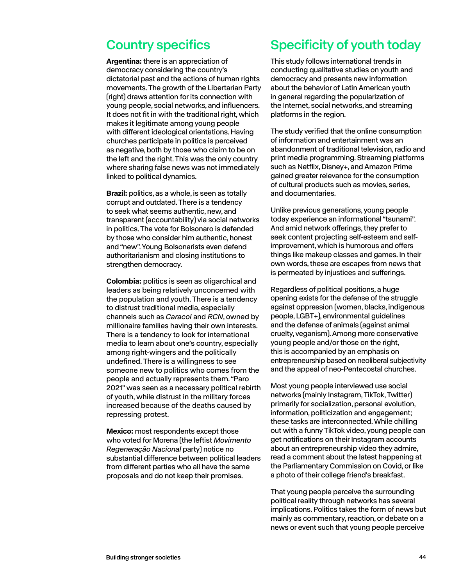## <span id="page-43-0"></span>Country specifics

**Argentina:** there is an appreciation of democracy considering the country's dictatorial past and the actions of human rights movements. The growth of the Libertarian Party (right) draws attention for its connection with young people, social networks, and influencers. It does not fit in with the traditional right, which makes it legitimate among young people with different ideological orientations. Having churches participate in politics is perceived as negative, both by those who claim to be on the left and the right. This was the only country where sharing false news was not immediately linked to political dynamics.

**Brazil:** politics, as a whole, is seen as totally corrupt and outdated. There is a tendency to seek what seems authentic, new, and transparent (accountability) via social networks in politics. The vote for Bolsonaro is defended by those who consider him authentic, honest and "new". Young Bolsonarists even defend authoritarianism and closing institutions to strengthen democracy.

**Colombia:** politics is seen as oligarchical and leaders as being relatively unconcerned with the population and youth. There is a tendency to distrust traditional media, especially channels such as *Caracol* and *RCN*, owned by millionaire families having their own interests. There is a tendency to look for international media to learn about one's country, especially among right-wingers and the politically undefined. There is a willingness to see someone new to politics who comes from the people and actually represents them. "Paro 2021" was seen as a necessary political rebirth of youth, while distrust in the military forces increased because of the deaths caused by repressing protest.

**Mexico:** most respondents except those who voted for Morena (the leftist *Movimento Regeneração Nacional* party) notice no substantial difference between political leaders from different parties who all have the same proposals and do not keep their promises.

## Specificity of youth today

This study follows international trends in conducting qualitative studies on youth and democracy and presents new information about the behavior of Latin American youth in general regarding the popularization of the Internet, social networks, and streaming platforms in the region.

The study verified that the online consumption of information and entertainment was an abandonment of traditional television, radio and print media programming. Streaming platforms such as Netflix, Disney+, and Amazon Prime gained greater relevance for the consumption of cultural products such as movies, series, and documentaries.

Unlike previous generations, young people today experience an informational "tsunami". And amid network offerings, they prefer to seek content projecting self-esteem and selfimprovement, which is humorous and offers things like makeup classes and games. In their own words, these are escapes from news that is permeated by injustices and sufferings.

Regardless of political positions, a huge opening exists for the defense of the struggle against oppression (women, blacks, indigenous people, LGBT+), environmental guidelines and the defense of animals (against animal cruelty, veganism). Among more conservative young people and/or those on the right, this is accompanied by an emphasis on entrepreneurship based on neoliberal subjectivity and the appeal of neo-Pentecostal churches.

Most young people interviewed use social networks (mainly Instagram, TikTok, Twitter) primarily for socialization, personal evolution, information, politicization and engagement; these tasks are interconnected. While chilling out with a funny TikTok video, young people can get notifications on their Instagram accounts about an entrepreneurship video they admire, read a comment about the latest happening at the Parliamentary Commission on Covid, or like a photo of their college friend's breakfast.

That young people perceive the surrounding political reality through networks has several implications. Politics takes the form of news but mainly as commentary, reaction, or debate on a news or event such that young people perceive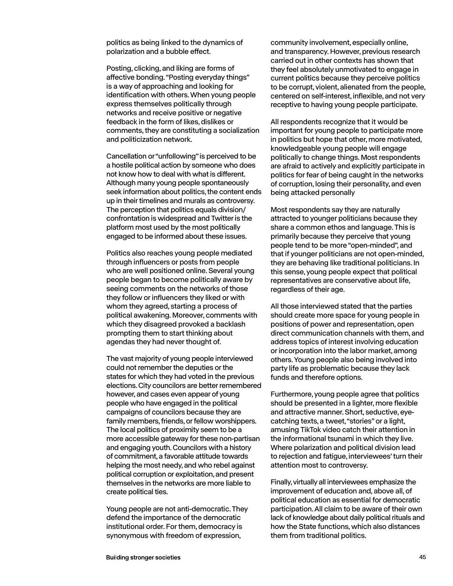politics as being linked to the dynamics of polarization and a bubble effect.

Posting, clicking, and liking are forms of affective bonding. "Posting everyday things" is a way of approaching and looking for identification with others. When young people express themselves politically through networks and receive positive or negative feedback in the form of likes, dislikes or comments, they are constituting a socialization and politicization network.

Cancellation or "unfollowing" is perceived to be a hostile political action by someone who does not know how to deal with what is different. Although many young people spontaneously seek information about politics, the content ends up in their timelines and murals as controversy. The perception that politics equals division/ confrontation is widespread and Twitter is the platform most used by the most politically engaged to be informed about these issues.

Politics also reaches young people mediated through influencers or posts from people who are well positioned online. Several young people began to become politically aware by seeing comments on the networks of those they follow or influencers they liked or with whom they agreed, starting a process of political awakening. Moreover, comments with which they disagreed provoked a backlash prompting them to start thinking about agendas they had never thought of.

The vast majority of young people interviewed could not remember the deputies or the states for which they had voted in the previous elections. City councilors are better remembered however, and cases even appear of young people who have engaged in the political campaigns of councilors because they are family members, friends, or fellow worshippers. The local politics of proximity seem to be a more accessible gateway for these non-partisan and engaging youth. Councilors with a history of commitment, a favorable attitude towards helping the most needy, and who rebel against political corruption or exploitation, and present themselves in the networks are more liable to create political ties.

Young people are not anti-democratic. They defend the importance of the democratic institutional order. For them, democracy is synonymous with freedom of expression,

community involvement, especially online, and transparency. However, previous research carried out in other contexts has shown that they feel absolutely unmotivated to engage in current politics because they perceive politics to be corrupt, violent, alienated from the people, centered on self-interest, inflexible, and not very receptive to having young people participate.

All respondents recognize that it would be important for young people to participate more in politics but hope that other, more motivated, knowledgeable young people will engage politically to change things. Most respondents are afraid to actively and explicitly participate in politics for fear of being caught in the networks of corruption, losing their personality, and even being attacked personally

Most respondents say they are naturally attracted to younger politicians because they share a common ethos and language. This is primarily because they perceive that young people tend to be more "open-minded", and that if younger politicians are not open-minded, they are behaving like traditional politicians. In this sense, young people expect that political representatives are conservative about life, regardless of their age.

All those interviewed stated that the parties should create more space for young people in positions of power and representation, open direct communication channels with them, and address topics of interest involving education or incorporation into the labor market, among others. Young people also being involved into party life as problematic because they lack funds and therefore options.

Furthermore, young people agree that politics should be presented in a lighter, more flexible and attractive manner. Short, seductive, eyecatching texts, a tweet, "stories" or a light, amusing TikTok video catch their attention in the informational tsunami in which they live. Where polarization and political division lead to rejection and fatigue, interviewees' turn their attention most to controversy.

Finally, virtually all interviewees emphasize the improvement of education and, above all, of political education as essential for democratic participation. All claim to be aware of their own lack of knowledge about daily political rituals and how the State functions, which also distances them from traditional politics.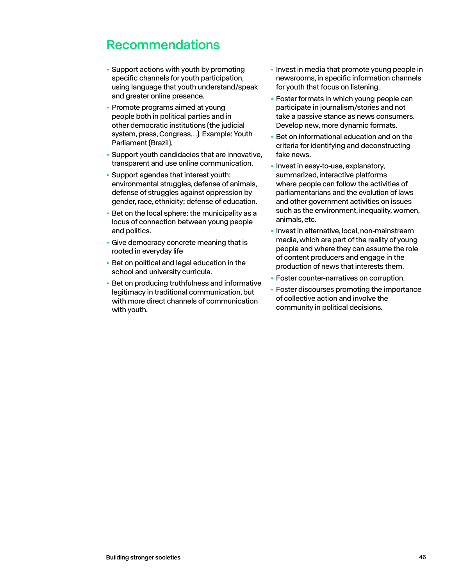## <span id="page-45-0"></span>Recommendations

- Support actions with youth by promoting specific channels for youth participation, using language that youth understand/speak and greater online presence.
- Promote programs aimed at young people both in political parties and in other democratic institutions (the judicial system, press, Congress…). Example: Youth Parliament (Brazil).
- Support youth candidacies that are innovative, transparent and use online communication.
- Support agendas that interest youth: environmental struggles, defense of animals, defense of struggles against oppression by gender, race, ethnicity; defense of education.
- Bet on the local sphere: the municipality as a locus of connection between young people and politics.
- Give democracy concrete meaning that is rooted in everyday life
- Bet on political and legal education in the school and university curricula.
- Bet on producing truthfulness and informative legitimacy in traditional communication, but with more direct channels of communication with youth.
- Invest in media that promote young people in newsrooms, in specific information channels for youth that focus on listening.
- Foster formats in which young people can participate in journalism/stories and not take a passive stance as news consumers. Develop new, more dynamic formats.
- Bet on informational education and on the criteria for identifying and deconstructing fake news.
- Invest in easy-to-use, explanatory, summarized, interactive platforms where people can follow the activities of parliamentarians and the evolution of laws and other government activities on issues such as the environment, inequality, women, animals, etc.
- Invest in alternative, local, non-mainstream media, which are part of the reality of young people and where they can assume the role of content producers and engage in the production of news that interests them.
- Foster counter-narratives on corruption.
- Foster discourses promoting the importance of collective action and involve the community in political decisions.